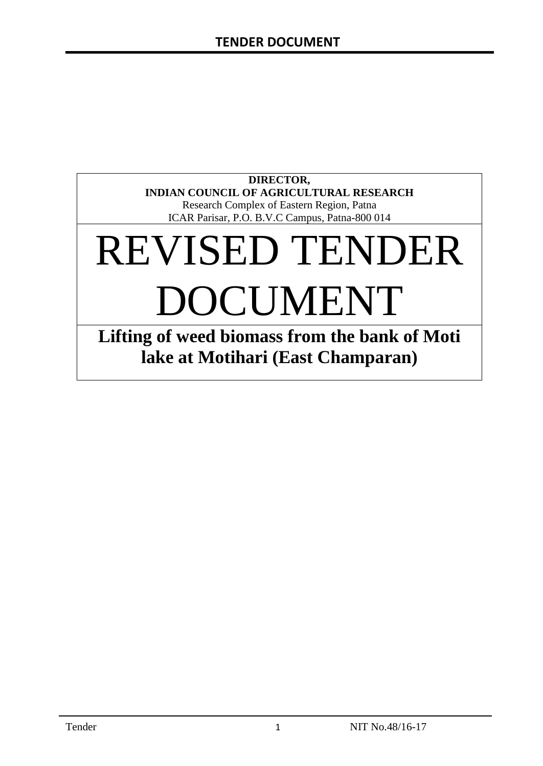### **DIRECTOR, INDIAN COUNCIL OF AGRICULTURAL RESEARCH** Research Complex of Eastern Region, Patna

ICAR Parisar, P.O. B.V.C Campus, Patna-800 014

# REVISED TENDER DOCUMENT

**Lifting of weed biomass from the bank of Moti lake at Motihari (East Champaran)**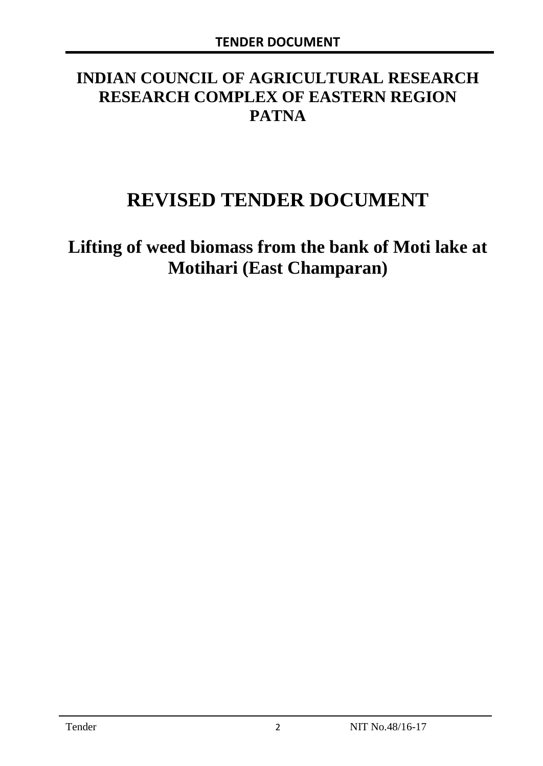# **INDIAN COUNCIL OF AGRICULTURAL RESEARCH RESEARCH COMPLEX OF EASTERN REGION PATNA**

# **REVISED TENDER DOCUMENT**

**Lifting of weed biomass from the bank of Moti lake at Motihari (East Champaran)**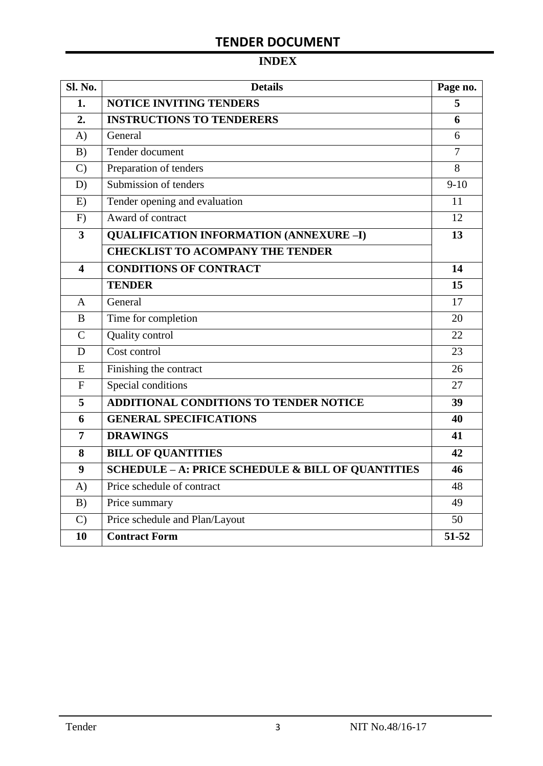# **INDEX**

| <b>Sl. No.</b> | <b>Details</b>                                    | Page no.       |
|----------------|---------------------------------------------------|----------------|
| 1.             | <b>NOTICE INVITING TENDERS</b>                    |                |
| 2.             | <b>INSTRUCTIONS TO TENDERERS</b>                  | 6              |
| A)             | General                                           | 6              |
| B)             | Tender document                                   | $\overline{7}$ |
| $\mathcal{C}$  | Preparation of tenders                            | 8              |
| D)             | Submission of tenders                             | $9-10$         |
| E)             | Tender opening and evaluation                     | 11             |
| F)             | Award of contract                                 | 12             |
| 3              | <b>QUALIFICATION INFORMATION (ANNEXURE-I)</b>     | 13             |
|                | <b>CHECKLIST TO ACOMPANY THE TENDER</b>           |                |
| 4              | <b>CONDITIONS OF CONTRACT</b>                     | 14             |
|                | <b>TENDER</b>                                     | 15             |
| A              | General                                           | 17             |
| B              | Time for completion                               | 20             |
| $\overline{C}$ | Quality control                                   | 22             |
| D              | Cost control                                      | 23             |
| E              | Finishing the contract                            | 26             |
| $\overline{F}$ | Special conditions                                | 27             |
| 5              | ADDITIONAL CONDITIONS TO TENDER NOTICE            | 39             |
| 6              | <b>GENERAL SPECIFICATIONS</b>                     | 40             |
| $\overline{7}$ | <b>DRAWINGS</b>                                   | 41             |
| 8              | <b>BILL OF QUANTITIES</b>                         | 42             |
| 9              | SCHEDULE - A: PRICE SCHEDULE & BILL OF QUANTITIES | 46             |
| A)             | Price schedule of contract                        | 48             |
| B)             | Price summary                                     | 49             |
| $\mathcal{C}$  | Price schedule and Plan/Layout                    | 50             |
| 10             | <b>Contract Form</b>                              | 51-52          |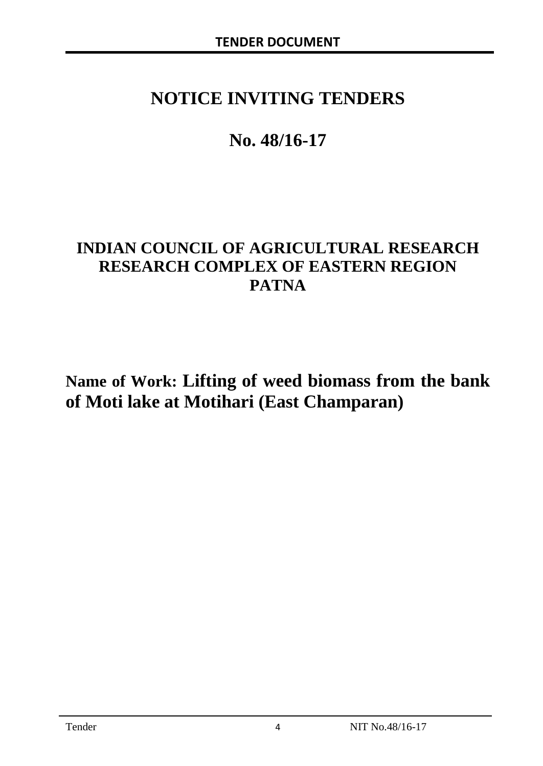# **NOTICE INVITING TENDERS**

# **No. 48/16-17**

# **INDIAN COUNCIL OF AGRICULTURAL RESEARCH RESEARCH COMPLEX OF EASTERN REGION PATNA**

**Name of Work: Lifting of weed biomass from the bank of Moti lake at Motihari (East Champaran)**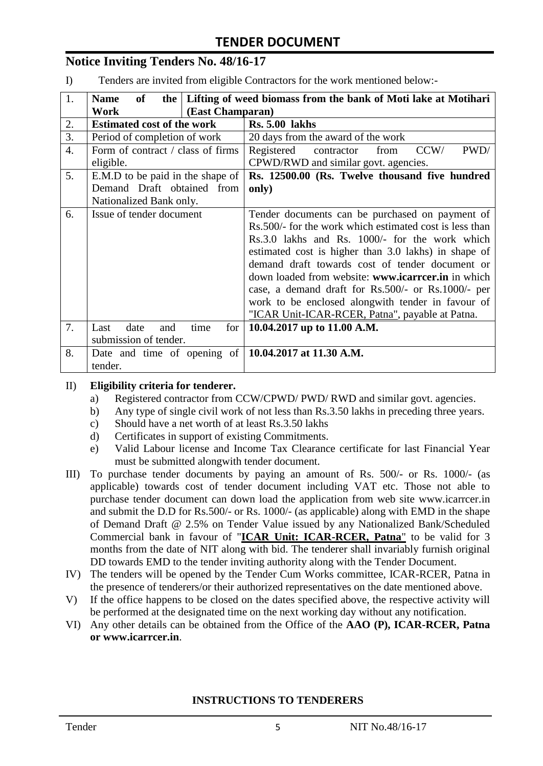### **Notice Inviting Tenders No. 48/16-17**

I) Tenders are invited from eligible Contractors for the work mentioned below:-

| 1.               | <b>Name</b><br>of                  | the   Lifting of weed biomass from the bank of Moti lake at Motihari |  |  |
|------------------|------------------------------------|----------------------------------------------------------------------|--|--|
|                  | (East Champaran)<br>Work           |                                                                      |  |  |
| 2.               | <b>Estimated cost of the work</b>  | <b>Rs. 5.00 lakhs</b>                                                |  |  |
| 3.               | Period of completion of work       | 20 days from the award of the work                                   |  |  |
| $\overline{4}$ . | Form of contract / class of firms  | CCW/<br>PWD/<br>Registered<br>contractor<br>from                     |  |  |
|                  | eligible.                          | CPWD/RWD and similar govt. agencies.                                 |  |  |
| 5.               | E.M.D to be paid in the shape of   | Rs. 12500.00 (Rs. Twelve thousand five hundred                       |  |  |
|                  | Demand Draft obtained from         | only)                                                                |  |  |
|                  | Nationalized Bank only.            |                                                                      |  |  |
| 6.               | Issue of tender document           | Tender documents can be purchased on payment of                      |  |  |
|                  |                                    | Rs.500/- for the work which estimated cost is less than              |  |  |
|                  |                                    | Rs.3.0 lakhs and Rs. 1000/- for the work which                       |  |  |
|                  |                                    | estimated cost is higher than 3.0 lakhs) in shape of                 |  |  |
|                  |                                    | demand draft towards cost of tender document or                      |  |  |
|                  |                                    | down loaded from website: www.icarreer.in in which                   |  |  |
|                  |                                    | case, a demand draft for Rs.500/- or Rs.1000/- per                   |  |  |
|                  |                                    | work to be enclosed alongwith tender in favour of                    |  |  |
|                  |                                    | "ICAR Unit-ICAR-RCER, Patna", payable at Patna.                      |  |  |
| 7.               | date<br>Last<br>for<br>and<br>time | 10.04.2017 up to 11.00 A.M.                                          |  |  |
|                  | submission of tender.              |                                                                      |  |  |
| 8.               | Date and time of opening of        | 10.04.2017 at 11.30 A.M.                                             |  |  |
|                  | tender.                            |                                                                      |  |  |

#### II) **Eligibility criteria for tenderer.**

- a) Registered contractor from CCW/CPWD/ PWD/ RWD and similar govt. agencies.
- b) Any type of single civil work of not less than Rs.3.50 lakhs in preceding three years.
- c) Should have a net worth of at least Rs.3.50 lakhs
- d) Certificates in support of existing Commitments.
- e) Valid Labour license and Income Tax Clearance certificate for last Financial Year must be submitted alongwith tender document.
- III) To purchase tender documents by paying an amount of Rs. 500/- or Rs. 1000/- (as applicable) towards cost of tender document including VAT etc. Those not able to purchase tender document can down load the application from web site www.icarrcer.in and submit the D.D for Rs.500/- or Rs. 1000/- (as applicable) along with EMD in the shape of Demand Draft @ 2.5% on Tender Value issued by any Nationalized Bank/Scheduled Commercial bank in favour of "**ICAR Unit: ICAR-RCER, Patna**" to be valid for 3 months from the date of NIT along with bid. The tenderer shall invariably furnish original DD towards EMD to the tender inviting authority along with the Tender Document.
- IV) The tenders will be opened by the Tender Cum Works committee, ICAR-RCER, Patna in the presence of tenderers/or their authorized representatives on the date mentioned above.
- V) If the office happens to be closed on the dates specified above, the respective activity will be performed at the designated time on the next working day without any notification.
- VI) Any other details can be obtained from the Office of the **AAO (P), ICAR-RCER, Patna or www.icarrcer.in**.

#### **INSTRUCTIONS TO TENDERERS**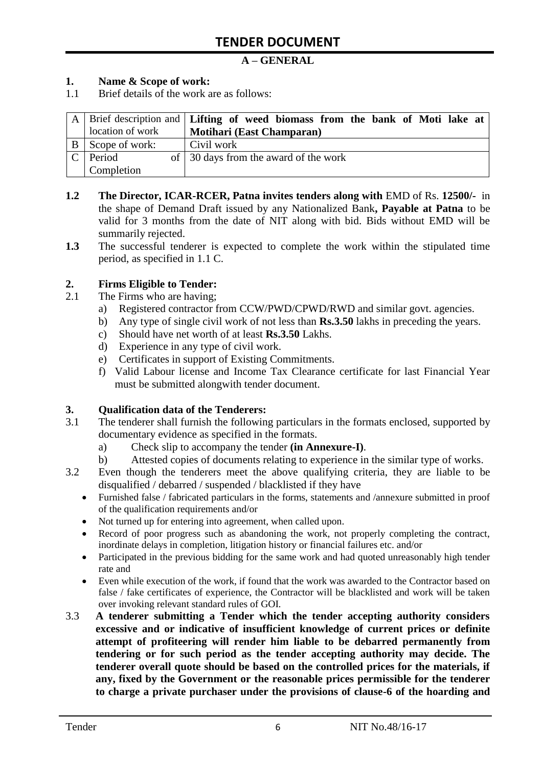#### **A – GENERAL**

#### **1. Name & Scope of work:**

1.1 Brief details of the work are as follows:

|               |                  | A   Brief description and   Lifting of weed biomass from the bank of Moti lake at |  |
|---------------|------------------|-----------------------------------------------------------------------------------|--|
|               | location of work | <b>Motihari (East Champaran)</b>                                                  |  |
|               | Scope of work:   | Civil work                                                                        |  |
| $\mathcal{C}$ | Period           | of $\vert$ 30 days from the award of the work                                     |  |
|               | Completion       |                                                                                   |  |

- **1.2 The Director, ICAR-RCER, Patna invites tenders along with** EMD of Rs. **12500/-** in the shape of Demand Draft issued by any Nationalized Bank**, Payable at Patna** to be valid for 3 months from the date of NIT along with bid. Bids without EMD will be summarily rejected.
- **1.3** The successful tenderer is expected to complete the work within the stipulated time period, as specified in 1.1 C.

#### **2. Firms Eligible to Tender:**

- 2.1 The Firms who are having;
	- a) Registered contractor from CCW/PWD/CPWD/RWD and similar govt. agencies.
	- b) Any type of single civil work of not less than **Rs.3.50** lakhs in preceding the years.
	- c) Should have net worth of at least **Rs.3.50** Lakhs.
	- d) Experience in any type of civil work.
	- e) Certificates in support of Existing Commitments.
	- f) Valid Labour license and Income Tax Clearance certificate for last Financial Year must be submitted alongwith tender document.

#### **3. Qualification data of the Tenderers:**

- 3.1 The tenderer shall furnish the following particulars in the formats enclosed, supported by documentary evidence as specified in the formats.
	- a) Check slip to accompany the tender **(in Annexure-I)**.
	- b) Attested copies of documents relating to experience in the similar type of works.
- 3.2 Even though the tenderers meet the above qualifying criteria, they are liable to be disqualified / debarred / suspended / blacklisted if they have
	- Furnished false / fabricated particulars in the forms, statements and /annexure submitted in proof of the qualification requirements and/or
	- Not turned up for entering into agreement, when called upon.
	- Record of poor progress such as abandoning the work, not properly completing the contract, inordinate delays in completion, litigation history or financial failures etc. and/or
	- Participated in the previous bidding for the same work and had quoted unreasonably high tender rate and
	- Even while execution of the work, if found that the work was awarded to the Contractor based on false / fake certificates of experience, the Contractor will be blacklisted and work will be taken over invoking relevant standard rules of GOI.
- 3.3 **A tenderer submitting a Tender which the tender accepting authority considers excessive and or indicative of insufficient knowledge of current prices or definite attempt of profiteering will render him liable to be debarred permanently from tendering or for such period as the tender accepting authority may decide. The tenderer overall quote should be based on the controlled prices for the materials, if any, fixed by the Government or the reasonable prices permissible for the tenderer to charge a private purchaser under the provisions of clause-6 of the hoarding and**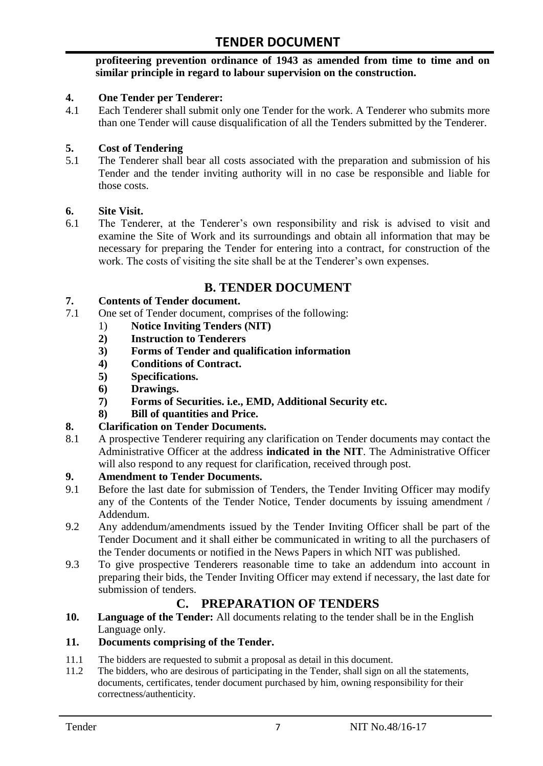#### **profiteering prevention ordinance of 1943 as amended from time to time and on similar principle in regard to labour supervision on the construction.**

#### **4. One Tender per Tenderer:**

4.1 Each Tenderer shall submit only one Tender for the work. A Tenderer who submits more than one Tender will cause disqualification of all the Tenders submitted by the Tenderer.

#### **5. Cost of Tendering**

5.1 The Tenderer shall bear all costs associated with the preparation and submission of his Tender and the tender inviting authority will in no case be responsible and liable for those costs.

#### **6. Site Visit.**

6.1 The Tenderer, at the Tenderer"s own responsibility and risk is advised to visit and examine the Site of Work and its surroundings and obtain all information that may be necessary for preparing the Tender for entering into a contract, for construction of the work. The costs of visiting the site shall be at the Tenderer's own expenses.

# **B. TENDER DOCUMENT**

#### **7. Contents of Tender document.**

- 7.1 One set of Tender document, comprises of the following:
	- 1) **Notice Inviting Tenders (NIT)**
	- **2) Instruction to Tenderers**
	- **3) Forms of Tender and qualification information**
	- **4) Conditions of Contract.**
	- **5) Specifications.**
	- **6) Drawings.**
	- **7) Forms of Securities. i.e., EMD, Additional Security etc.**
	- **8) Bill of quantities and Price.**

#### **8. Clarification on Tender Documents.**

8.1 A prospective Tenderer requiring any clarification on Tender documents may contact the Administrative Officer at the address **indicated in the NIT**. The Administrative Officer will also respond to any request for clarification, received through post.

#### **9. Amendment to Tender Documents.**

- 9.1 Before the last date for submission of Tenders, the Tender Inviting Officer may modify any of the Contents of the Tender Notice, Tender documents by issuing amendment / Addendum.
- 9.2 Any addendum/amendments issued by the Tender Inviting Officer shall be part of the Tender Document and it shall either be communicated in writing to all the purchasers of the Tender documents or notified in the News Papers in which NIT was published.
- 9.3 To give prospective Tenderers reasonable time to take an addendum into account in preparing their bids, the Tender Inviting Officer may extend if necessary, the last date for submission of tenders.

### **C. PREPARATION OF TENDERS**

**10. Language of the Tender:** All documents relating to the tender shall be in the English Language only.

### **11. Documents comprising of the Tender.**

- 11.1 The bidders are requested to submit a proposal as detail in this document.
- 11.2 The bidders, who are desirous of participating in the Tender, shall sign on all the statements, documents, certificates, tender document purchased by him, owning responsibility for their correctness/authenticity.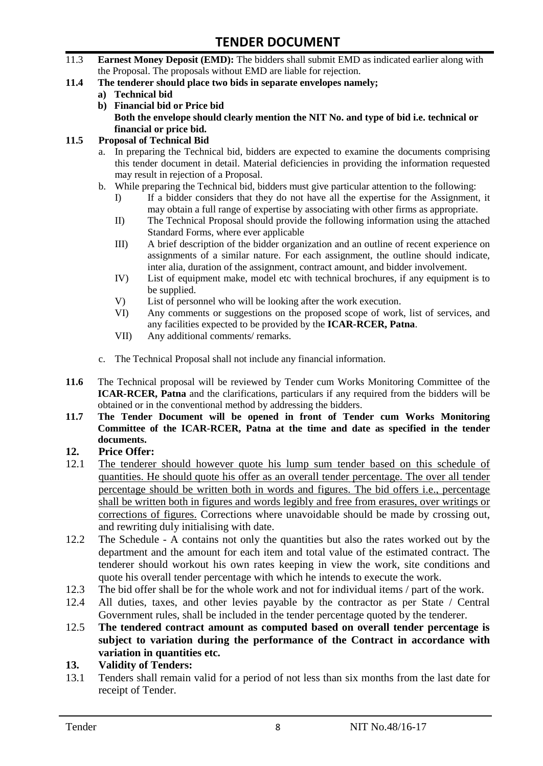- 11.3 **Earnest Money Deposit (EMD):** The bidders shall submit EMD as indicated earlier along with the Proposal. The proposals without EMD are liable for rejection.
- **11.4 The tenderer should place two bids in separate envelopes namely;**
	- **a) Technical bid**
	- **b) Financial bid or Price bid Both the envelope should clearly mention the NIT No. and type of bid i.e. technical or financial or price bid.**

#### **11.5 Proposal of Technical Bid**

- a. In preparing the Technical bid, bidders are expected to examine the documents comprising this tender document in detail. Material deficiencies in providing the information requested may result in rejection of a Proposal.
- b. While preparing the Technical bid, bidders must give particular attention to the following:
	- I) If a bidder considers that they do not have all the expertise for the Assignment, it may obtain a full range of expertise by associating with other firms as appropriate.
	- II) The Technical Proposal should provide the following information using the attached Standard Forms, where ever applicable
	- III) A brief description of the bidder organization and an outline of recent experience on assignments of a similar nature. For each assignment, the outline should indicate, inter alia, duration of the assignment, contract amount, and bidder involvement.
	- IV) List of equipment make, model etc with technical brochures, if any equipment is to be supplied.
	- V) List of personnel who will be looking after the work execution.
	- VI) Any comments or suggestions on the proposed scope of work, list of services, and any facilities expected to be provided by the **ICAR-RCER, Patna**.
	- VII) Any additional comments/ remarks.
- c. The Technical Proposal shall not include any financial information.
- **11.6** The Technical proposal will be reviewed by Tender cum Works Monitoring Committee of the **ICAR-RCER, Patna** and the clarifications, particulars if any required from the bidders will be obtained or in the conventional method by addressing the bidders.
- **11.7 The Tender Document will be opened in front of Tender cum Works Monitoring Committee of the ICAR-RCER, Patna at the time and date as specified in the tender documents.**

#### **12. Price Offer:**

- 12.1 The tenderer should however quote his lump sum tender based on this schedule of quantities. He should quote his offer as an overall tender percentage. The over all tender percentage should be written both in words and figures. The bid offers i.e., percentage shall be written both in figures and words legibly and free from erasures, over writings or corrections of figures. Corrections where unavoidable should be made by crossing out, and rewriting duly initialising with date.
- 12.2 The Schedule A contains not only the quantities but also the rates worked out by the department and the amount for each item and total value of the estimated contract. The tenderer should workout his own rates keeping in view the work, site conditions and quote his overall tender percentage with which he intends to execute the work.
- 12.3 The bid offer shall be for the whole work and not for individual items / part of the work.
- 12.4 All duties, taxes, and other levies payable by the contractor as per State / Central Government rules, shall be included in the tender percentage quoted by the tenderer.
- 12.5 **The tendered contract amount as computed based on overall tender percentage is subject to variation during the performance of the Contract in accordance with variation in quantities etc.**
- **13. Validity of Tenders:**
- 13.1 Tenders shall remain valid for a period of not less than six months from the last date for receipt of Tender.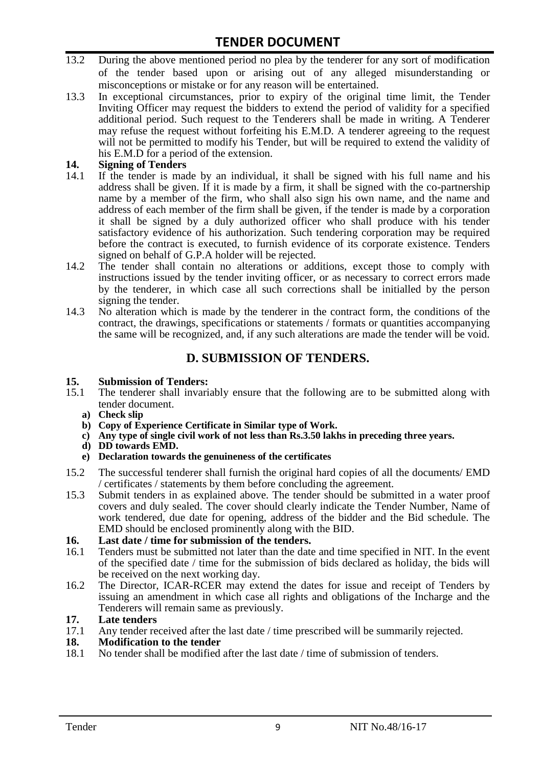- 13.2 During the above mentioned period no plea by the tenderer for any sort of modification of the tender based upon or arising out of any alleged misunderstanding or misconceptions or mistake or for any reason will be entertained.
- 13.3 In exceptional circumstances, prior to expiry of the original time limit, the Tender Inviting Officer may request the bidders to extend the period of validity for a specified additional period. Such request to the Tenderers shall be made in writing. A Tenderer may refuse the request without forfeiting his E.M.D. A tenderer agreeing to the request will not be permitted to modify his Tender, but will be required to extend the validity of his E.M.D for a period of the extension.

# 14. **Signing of Tenders**<br>14.1 If the tender is mag

- If the tender is made by an individual, it shall be signed with his full name and his address shall be given. If it is made by a firm, it shall be signed with the co-partnership name by a member of the firm, who shall also sign his own name, and the name and address of each member of the firm shall be given, if the tender is made by a corporation it shall be signed by a duly authorized officer who shall produce with his tender satisfactory evidence of his authorization. Such tendering corporation may be required before the contract is executed, to furnish evidence of its corporate existence. Tenders signed on behalf of G.P.A holder will be rejected.
- 14.2 The tender shall contain no alterations or additions, except those to comply with instructions issued by the tender inviting officer, or as necessary to correct errors made by the tenderer, in which case all such corrections shall be initialled by the person signing the tender.
- 14.3 No alteration which is made by the tenderer in the contract form, the conditions of the contract, the drawings, specifications or statements / formats or quantities accompanying the same will be recognized, and, if any such alterations are made the tender will be void.

# **D. SUBMISSION OF TENDERS.**

#### **15. Submission of Tenders:**

- 15.1 The tenderer shall invariably ensure that the following are to be submitted along with tender document.
	- **a) Check slip**
	- **b) Copy of Experience Certificate in Similar type of Work.**
	- **c) Any type of single civil work of not less than Rs.3.50 lakhs in preceding three years.**
	- **d) DD towards EMD.**
	- **e) Declaration towards the genuineness of the certificates**
- 15.2 The successful tenderer shall furnish the original hard copies of all the documents/ EMD / certificates / statements by them before concluding the agreement.
- 15.3 Submit tenders in as explained above. The tender should be submitted in a water proof covers and duly sealed. The cover should clearly indicate the Tender Number, Name of work tendered, due date for opening, address of the bidder and the Bid schedule. The EMD should be enclosed prominently along with the BID.

# **16. Last date / time for submission of the tenders.**

- 16.1 Tenders must be submitted not later than the date and time specified in NIT. In the event of the specified date / time for the submission of bids declared as holiday, the bids will be received on the next working day.
- 16.2 The Director, ICAR-RCER may extend the dates for issue and receipt of Tenders by issuing an amendment in which case all rights and obligations of the Incharge and the Tenderers will remain same as previously.

#### **17. Late tenders**

17.1 Any tender received after the last date / time prescribed will be summarily rejected.<br>18. Modification to the tender

# **18. Modification to the tender**<br>18.1 No tender shall be modified

No tender shall be modified after the last date / time of submission of tenders.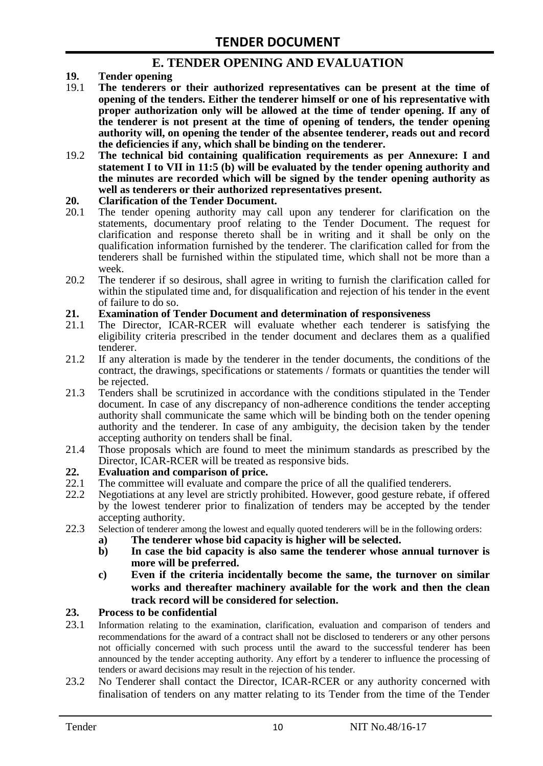### **E. TENDER OPENING AND EVALUATION**

- **19. Tender opening**
- 19.1 **The tenderers or their authorized representatives can be present at the time of opening of the tenders. Either the tenderer himself or one of his representative with proper authorization only will be allowed at the time of tender opening. If any of the tenderer is not present at the time of opening of tenders, the tender opening authority will, on opening the tender of the absentee tenderer, reads out and record the deficiencies if any, which shall be binding on the tenderer.**
- 19.2 **The technical bid containing qualification requirements as per Annexure: I and statement I to VII in 11:5 (b) will be evaluated by the tender opening authority and the minutes are recorded which will be signed by the tender opening authority as well as tenderers or their authorized representatives present.**

#### **20. Clarification of the Tender Document.**

- 20.1 The tender opening authority may call upon any tenderer for clarification on the statements, documentary proof relating to the Tender Document. The request for clarification and response thereto shall be in writing and it shall be only on the qualification information furnished by the tenderer. The clarification called for from the tenderers shall be furnished within the stipulated time, which shall not be more than a week.
- 20.2 The tenderer if so desirous, shall agree in writing to furnish the clarification called for within the stipulated time and, for disqualification and rejection of his tender in the event of failure to do so.

# **21. Examination of Tender Document and determination of responsiveness**

- 21.1 The Director, ICAR-RCER will evaluate whether each tenderer is satisfying the eligibility criteria prescribed in the tender document and declares them as a qualified tenderer.
- 21.2 If any alteration is made by the tenderer in the tender documents, the conditions of the contract, the drawings, specifications or statements / formats or quantities the tender will be rejected.
- 21.3 Tenders shall be scrutinized in accordance with the conditions stipulated in the Tender document. In case of any discrepancy of non-adherence conditions the tender accepting authority shall communicate the same which will be binding both on the tender opening authority and the tenderer. In case of any ambiguity, the decision taken by the tender accepting authority on tenders shall be final.
- 21.4 Those proposals which are found to meet the minimum standards as prescribed by the Director, ICAR-RCER will be treated as responsive bids.

# **22. Evaluation and comparison of price.**

- The committee will evaluate and compare the price of all the qualified tenderers.
- 22.2 Negotiations at any level are strictly prohibited. However, good gesture rebate, if offered by the lowest tenderer prior to finalization of tenders may be accepted by the tender accepting authority.
- 22.3 Selection of tenderer among the lowest and equally quoted tenderers will be in the following orders:
	- **a) The tenderer whose bid capacity is higher will be selected.**
	- **b) In case the bid capacity is also same the tenderer whose annual turnover is more will be preferred.**
	- **c) Even if the criteria incidentally become the same, the turnover on similar works and thereafter machinery available for the work and then the clean track record will be considered for selection.**

#### **23. Process to be confidential**

- 23.1 Information relating to the examination, clarification, evaluation and comparison of tenders and recommendations for the award of a contract shall not be disclosed to tenderers or any other persons not officially concerned with such process until the award to the successful tenderer has been announced by the tender accepting authority. Any effort by a tenderer to influence the processing of tenders or award decisions may result in the rejection of his tender.
- 23.2 No Tenderer shall contact the Director, ICAR-RCER or any authority concerned with finalisation of tenders on any matter relating to its Tender from the time of the Tender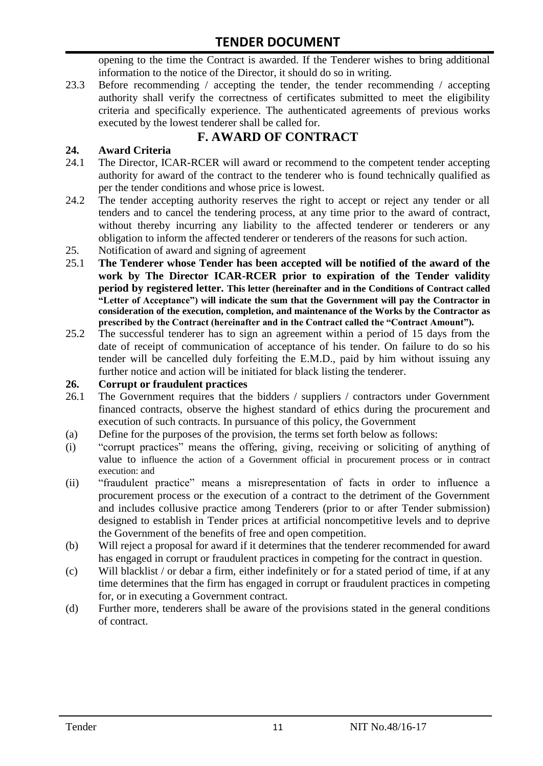opening to the time the Contract is awarded. If the Tenderer wishes to bring additional information to the notice of the Director, it should do so in writing.

23.3 Before recommending / accepting the tender, the tender recommending / accepting authority shall verify the correctness of certificates submitted to meet the eligibility criteria and specifically experience. The authenticated agreements of previous works executed by the lowest tenderer shall be called for.

# **F. AWARD OF CONTRACT**

#### **24. Award Criteria**

- 24.1 The Director, ICAR-RCER will award or recommend to the competent tender accepting authority for award of the contract to the tenderer who is found technically qualified as per the tender conditions and whose price is lowest.
- 24.2 The tender accepting authority reserves the right to accept or reject any tender or all tenders and to cancel the tendering process, at any time prior to the award of contract, without thereby incurring any liability to the affected tenderer or tenderers or any obligation to inform the affected tenderer or tenderers of the reasons for such action.
- 25. Notification of award and signing of agreement
- 25.1 **The Tenderer whose Tender has been accepted will be notified of the award of the work by The Director ICAR-RCER prior to expiration of the Tender validity period by registered letter. This letter (hereinafter and in the Conditions of Contract called "Letter of Acceptance") will indicate the sum that the Government will pay the Contractor in consideration of the execution, completion, and maintenance of the Works by the Contractor as prescribed by the Contract (hereinafter and in the Contract called the "Contract Amount").**
- 25.2 The successful tenderer has to sign an agreement within a period of 15 days from the date of receipt of communication of acceptance of his tender. On failure to do so his tender will be cancelled duly forfeiting the E.M.D., paid by him without issuing any further notice and action will be initiated for black listing the tenderer.

#### **26. Corrupt or fraudulent practices**

- 26.1 The Government requires that the bidders / suppliers / contractors under Government financed contracts, observe the highest standard of ethics during the procurement and execution of such contracts. In pursuance of this policy, the Government
- (a) Define for the purposes of the provision, the terms set forth below as follows:
- (i) "corrupt practices" means the offering, giving, receiving or soliciting of anything of value to influence the action of a Government official in procurement process or in contract execution: and
- (ii) "fraudulent practice" means a misrepresentation of facts in order to influence a procurement process or the execution of a contract to the detriment of the Government and includes collusive practice among Tenderers (prior to or after Tender submission) designed to establish in Tender prices at artificial noncompetitive levels and to deprive the Government of the benefits of free and open competition.
- (b) Will reject a proposal for award if it determines that the tenderer recommended for award has engaged in corrupt or fraudulent practices in competing for the contract in question.
- (c) Will blacklist / or debar a firm, either indefinitely or for a stated period of time, if at any time determines that the firm has engaged in corrupt or fraudulent practices in competing for, or in executing a Government contract.
- (d) Further more, tenderers shall be aware of the provisions stated in the general conditions of contract.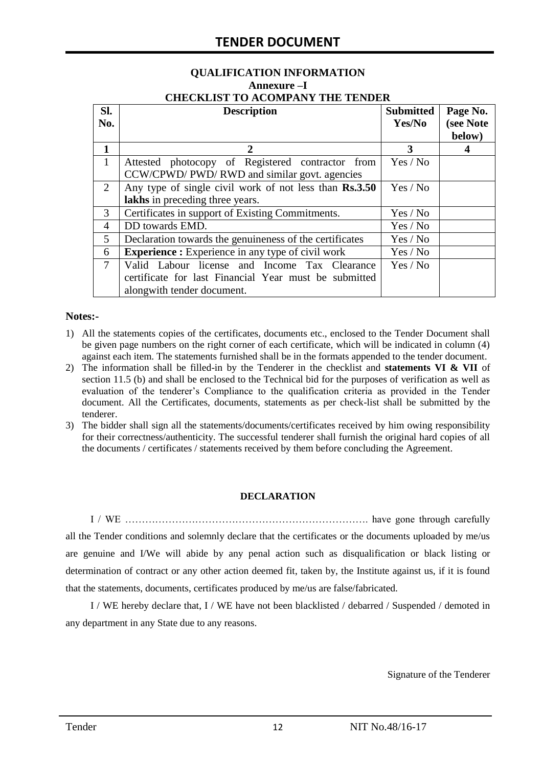#### **QUALIFICATION INFORMATION Annexure –I CHECKLIST TO ACOMPANY THE TENDER**

| SI.<br>No.   | <b>Description</b>                                                 | <b>Submitted</b><br>Yes/No | Page No.<br>(see Note |  |
|--------------|--------------------------------------------------------------------|----------------------------|-----------------------|--|
|              |                                                                    |                            | below)                |  |
| 1            | $\mathcal{D}_{\cdot}$                                              | 3                          |                       |  |
| $\mathbf{1}$ | Attested photocopy of Registered contractor from                   | Yes / No                   |                       |  |
|              | CCW/CPWD/ PWD/ RWD and similar govt. agencies                      |                            |                       |  |
| 2            | Any type of single civil work of not less than Rs.3.50<br>Yes / No |                            |                       |  |
|              | lakhs in preceding three years.                                    |                            |                       |  |
| 3            | Certificates in support of Existing Commitments.                   | Yes / No                   |                       |  |
| 4            | DD towards EMD.                                                    | Yes / No                   |                       |  |
| 5            | Declaration towards the genuineness of the certificates            | Yes / No                   |                       |  |
| 6            | <b>Experience :</b> Experience in any type of civil work           | Yes / No                   |                       |  |
| 7            | Valid Labour license and Income Tax Clearance                      | Yes / No                   |                       |  |
|              | certificate for last Financial Year must be submitted              |                            |                       |  |
|              | alongwith tender document.                                         |                            |                       |  |

#### **Notes:-**

- 1) All the statements copies of the certificates, documents etc., enclosed to the Tender Document shall be given page numbers on the right corner of each certificate, which will be indicated in column (4) against each item. The statements furnished shall be in the formats appended to the tender document.
- 2) The information shall be filled-in by the Tenderer in the checklist and **statements VI & VII** of section 11.5 (b) and shall be enclosed to the Technical bid for the purposes of verification as well as evaluation of the tenderer"s Compliance to the qualification criteria as provided in the Tender document. All the Certificates, documents, statements as per check-list shall be submitted by the tenderer.
- 3) The bidder shall sign all the statements/documents/certificates received by him owing responsibility for their correctness/authenticity. The successful tenderer shall furnish the original hard copies of all the documents / certificates / statements received by them before concluding the Agreement.

#### **DECLARATION**

I / WE ………………………………………………………………. have gone through carefully all the Tender conditions and solemnly declare that the certificates or the documents uploaded by me/us are genuine and I/We will abide by any penal action such as disqualification or black listing or determination of contract or any other action deemed fit, taken by, the Institute against us, if it is found that the statements, documents, certificates produced by me/us are false/fabricated.

I / WE hereby declare that, I / WE have not been blacklisted / debarred / Suspended / demoted in any department in any State due to any reasons.

Signature of the Tenderer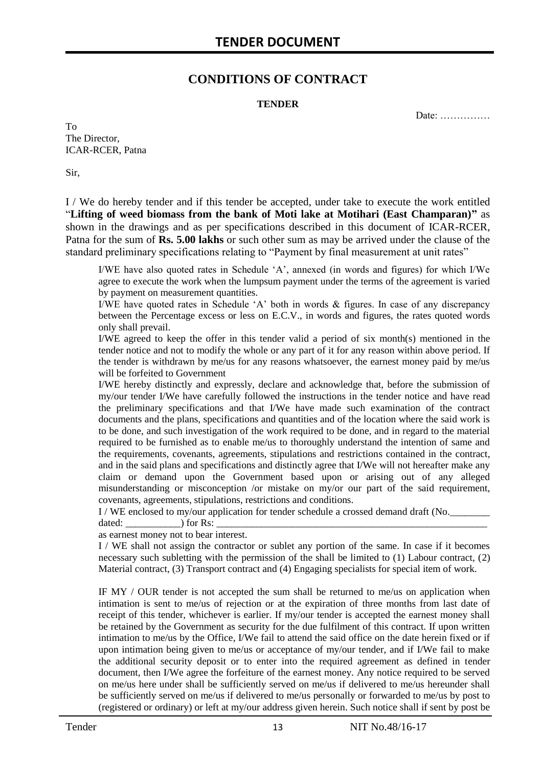### **CONDITIONS OF CONTRACT**

#### **TENDER**

Date: ……………

To The Director, ICAR-RCER, Patna

Sir,

I / We do hereby tender and if this tender be accepted, under take to execute the work entitled "**Lifting of weed biomass from the bank of Moti lake at Motihari (East Champaran)"** as shown in the drawings and as per specifications described in this document of ICAR-RCER, Patna for the sum of **Rs. 5.00 lakhs** or such other sum as may be arrived under the clause of the standard preliminary specifications relating to "Payment by final measurement at unit rates"

I/WE have also quoted rates in Schedule "A", annexed (in words and figures) for which I/We agree to execute the work when the lumpsum payment under the terms of the agreement is varied by payment on measurement quantities.

I/WE have quoted rates in Schedule 'A' both in words  $\&$  figures. In case of any discrepancy between the Percentage excess or less on E.C.V., in words and figures, the rates quoted words only shall prevail.

I/WE agreed to keep the offer in this tender valid a period of six month(s) mentioned in the tender notice and not to modify the whole or any part of it for any reason within above period. If the tender is withdrawn by me/us for any reasons whatsoever, the earnest money paid by me/us will be forfeited to Government

I/WE hereby distinctly and expressly, declare and acknowledge that, before the submission of my/our tender I/We have carefully followed the instructions in the tender notice and have read the preliminary specifications and that I/We have made such examination of the contract documents and the plans, specifications and quantities and of the location where the said work is to be done, and such investigation of the work required to be done, and in regard to the material required to be furnished as to enable me/us to thoroughly understand the intention of same and the requirements, covenants, agreements, stipulations and restrictions contained in the contract, and in the said plans and specifications and distinctly agree that I/We will not hereafter make any claim or demand upon the Government based upon or arising out of any alleged misunderstanding or misconception /or mistake on my/or our part of the said requirement, covenants, agreements, stipulations, restrictions and conditions.

I / WE enclosed to my/our application for tender schedule a crossed demand draft (No.

dated: \_\_\_\_\_\_\_\_\_\_\_) for Rs: \_\_\_\_\_\_\_\_\_\_\_\_\_\_\_\_\_\_\_\_\_\_\_\_\_\_\_\_\_\_\_\_\_\_\_\_\_\_\_\_\_\_\_\_\_\_\_\_\_\_\_\_\_\_

as earnest money not to bear interest.

I / WE shall not assign the contractor or sublet any portion of the same. In case if it becomes necessary such subletting with the permission of the shall be limited to (1) Labour contract, (2) Material contract, (3) Transport contract and (4) Engaging specialists for special item of work.

IF MY / OUR tender is not accepted the sum shall be returned to me/us on application when intimation is sent to me/us of rejection or at the expiration of three months from last date of receipt of this tender, whichever is earlier. If my/our tender is accepted the earnest money shall be retained by the Government as security for the due fulfilment of this contract. If upon written intimation to me/us by the Office, I/We fail to attend the said office on the date herein fixed or if upon intimation being given to me/us or acceptance of my/our tender, and if I/We fail to make the additional security deposit or to enter into the required agreement as defined in tender document, then I/We agree the forfeiture of the earnest money. Any notice required to be served on me/us here under shall be sufficiently served on me/us if delivered to me/us hereunder shall be sufficiently served on me/us if delivered to me/us personally or forwarded to me/us by post to (registered or ordinary) or left at my/our address given herein. Such notice shall if sent by post be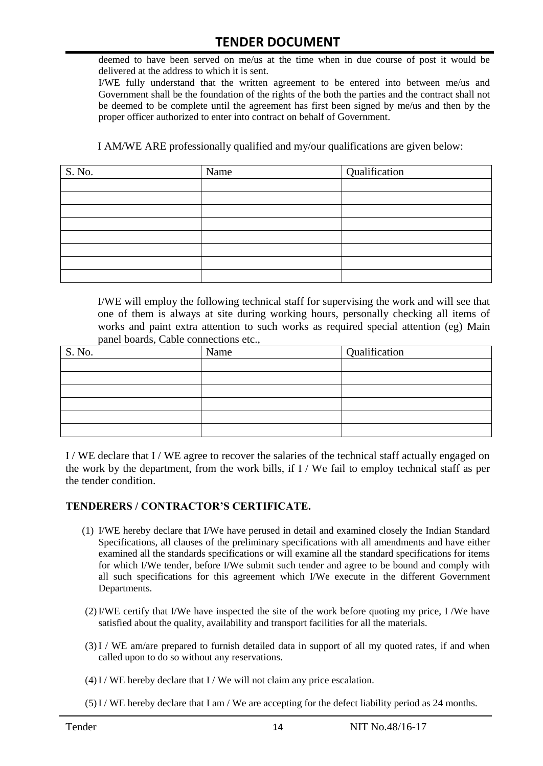deemed to have been served on me/us at the time when in due course of post it would be delivered at the address to which it is sent.

I/WE fully understand that the written agreement to be entered into between me/us and Government shall be the foundation of the rights of the both the parties and the contract shall not be deemed to be complete until the agreement has first been signed by me/us and then by the proper officer authorized to enter into contract on behalf of Government.

I AM/WE ARE professionally qualified and my/our qualifications are given below:

| S. No. | Name | Qualification |
|--------|------|---------------|
|        |      |               |
|        |      |               |
|        |      |               |
|        |      |               |
|        |      |               |
|        |      |               |
|        |      |               |
|        |      |               |

I/WE will employ the following technical staff for supervising the work and will see that one of them is always at site during working hours, personally checking all items of works and paint extra attention to such works as required special attention (eg) Main panel boards, Cable connections etc.,

| S. No. | Name | Qualification |
|--------|------|---------------|
|        |      |               |
|        |      |               |
|        |      |               |
|        |      |               |
|        |      |               |
|        |      |               |

I / WE declare that I / WE agree to recover the salaries of the technical staff actually engaged on the work by the department, from the work bills, if I / We fail to employ technical staff as per the tender condition.

#### **TENDERERS / CONTRACTOR'S CERTIFICATE.**

- (1) I/WE hereby declare that I/We have perused in detail and examined closely the Indian Standard Specifications, all clauses of the preliminary specifications with all amendments and have either examined all the standards specifications or will examine all the standard specifications for items for which I/We tender, before I/We submit such tender and agree to be bound and comply with all such specifications for this agreement which I/We execute in the different Government Departments.
- (2)I/WE certify that I/We have inspected the site of the work before quoting my price, I /We have satisfied about the quality, availability and transport facilities for all the materials.
- (3)I / WE am/are prepared to furnish detailed data in support of all my quoted rates, if and when called upon to do so without any reservations.
- $(4)$ I / WE hereby declare that I / We will not claim any price escalation.
- (5)I / WE hereby declare that I am / We are accepting for the defect liability period as 24 months.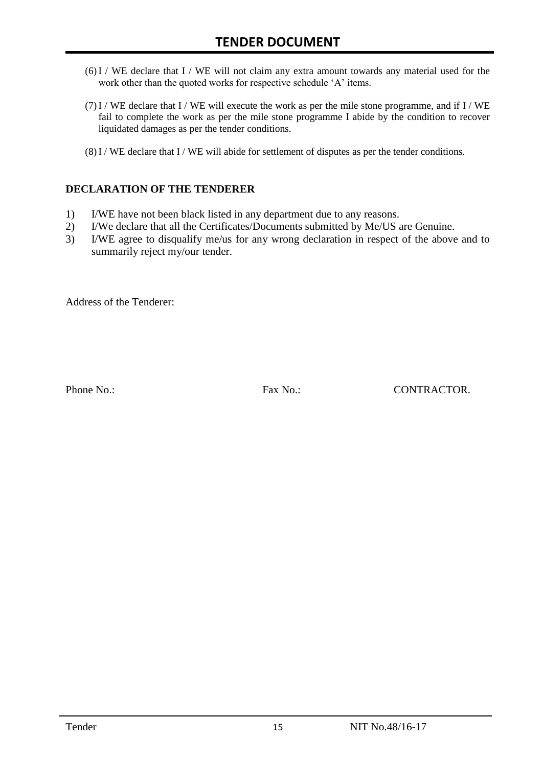- (6)I / WE declare that I / WE will not claim any extra amount towards any material used for the work other than the quoted works for respective schedule 'A' items.
- $(7)$  I / WE declare that I / WE will execute the work as per the mile stone programme, and if I / WE fail to complete the work as per the mile stone programme I abide by the condition to recover liquidated damages as per the tender conditions.
- $(8)$ I / WE declare that I / WE will abide for settlement of disputes as per the tender conditions.

#### **DECLARATION OF THE TENDERER**

- 1) I/WE have not been black listed in any department due to any reasons.
- 2) I/We declare that all the Certificates/Documents submitted by Me/US are Genuine.
- 3) I/WE agree to disqualify me/us for any wrong declaration in respect of the above and to summarily reject my/our tender.

Address of the Tenderer:

Phone No.: Fax No.: Fax No.: CONTRACTOR.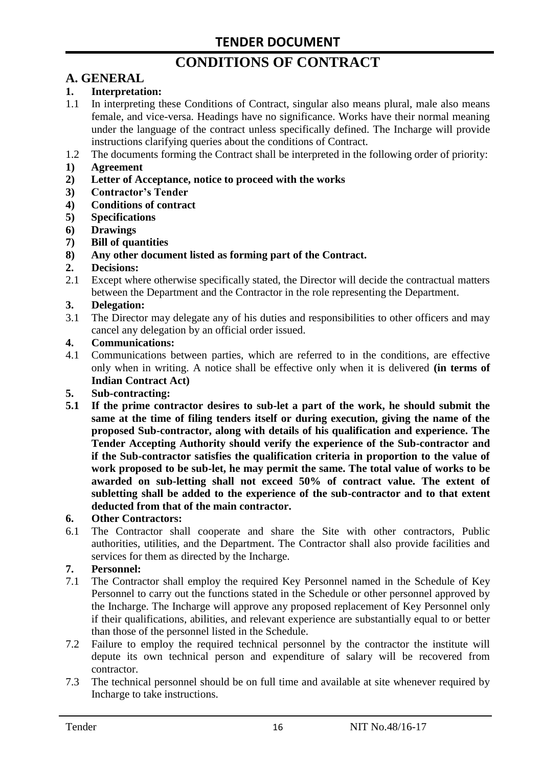# **CONDITIONS OF CONTRACT**

# **A. GENERAL**

#### **1. Interpretation:**

- 1.1 In interpreting these Conditions of Contract, singular also means plural, male also means female, and vice-versa. Headings have no significance. Works have their normal meaning under the language of the contract unless specifically defined. The Incharge will provide instructions clarifying queries about the conditions of Contract.
- 1.2 The documents forming the Contract shall be interpreted in the following order of priority:
- **1) Agreement**
- **2) Letter of Acceptance, notice to proceed with the works**
- **3) Contractor's Tender**
- **4) Conditions of contract**
- **5) Specifications**
- **6) Drawings**
- **7) Bill of quantities**
- **8) Any other document listed as forming part of the Contract.**

#### **2. Decisions:**

2.1 Except where otherwise specifically stated, the Director will decide the contractual matters between the Department and the Contractor in the role representing the Department.

#### **3. Delegation:**

3.1 The Director may delegate any of his duties and responsibilities to other officers and may cancel any delegation by an official order issued.

#### **4. Communications:**

4.1 Communications between parties, which are referred to in the conditions, are effective only when in writing. A notice shall be effective only when it is delivered **(in terms of Indian Contract Act)**

#### **5. Sub-contracting:**

**5.1 If the prime contractor desires to sub-let a part of the work, he should submit the same at the time of filing tenders itself or during execution, giving the name of the proposed Sub-contractor, along with details of his qualification and experience. The Tender Accepting Authority should verify the experience of the Sub-contractor and if the Sub-contractor satisfies the qualification criteria in proportion to the value of work proposed to be sub-let, he may permit the same. The total value of works to be awarded on sub-letting shall not exceed 50% of contract value. The extent of subletting shall be added to the experience of the sub-contractor and to that extent deducted from that of the main contractor.**

#### **6. Other Contractors:**

6.1 The Contractor shall cooperate and share the Site with other contractors, Public authorities, utilities, and the Department. The Contractor shall also provide facilities and services for them as directed by the Incharge.

#### **7. Personnel:**

- 7.1 The Contractor shall employ the required Key Personnel named in the Schedule of Key Personnel to carry out the functions stated in the Schedule or other personnel approved by the Incharge. The Incharge will approve any proposed replacement of Key Personnel only if their qualifications, abilities, and relevant experience are substantially equal to or better than those of the personnel listed in the Schedule.
- 7.2 Failure to employ the required technical personnel by the contractor the institute will depute its own technical person and expenditure of salary will be recovered from contractor.
- 7.3 The technical personnel should be on full time and available at site whenever required by Incharge to take instructions.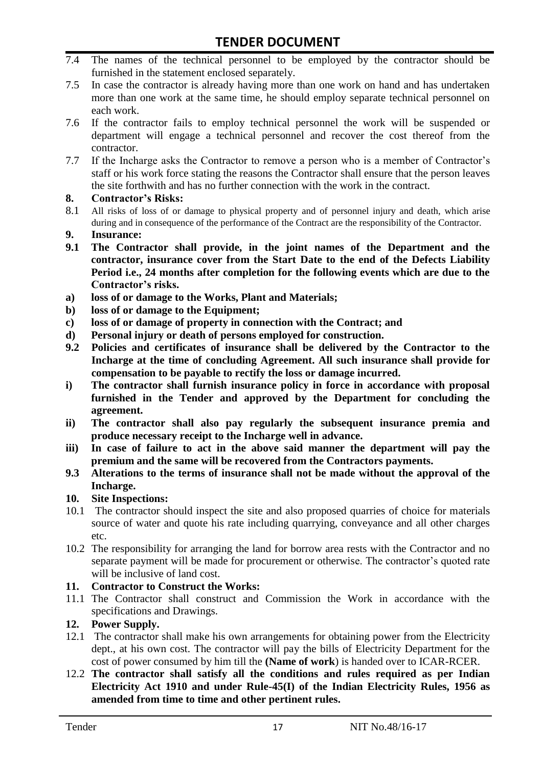- 7.4 The names of the technical personnel to be employed by the contractor should be furnished in the statement enclosed separately.
- 7.5 In case the contractor is already having more than one work on hand and has undertaken more than one work at the same time, he should employ separate technical personnel on each work.
- 7.6 If the contractor fails to employ technical personnel the work will be suspended or department will engage a technical personnel and recover the cost thereof from the contractor.
- 7.7 If the Incharge asks the Contractor to remove a person who is a member of Contractor"s staff or his work force stating the reasons the Contractor shall ensure that the person leaves the site forthwith and has no further connection with the work in the contract.

#### **8. Contractor's Risks:**

- 8.1 All risks of loss of or damage to physical property and of personnel injury and death, which arise during and in consequence of the performance of the Contract are the responsibility of the Contractor.
- **9. Insurance:**
- **9.1 The Contractor shall provide, in the joint names of the Department and the contractor, insurance cover from the Start Date to the end of the Defects Liability Period i.e., 24 months after completion for the following events which are due to the Contractor's risks.**
- **a) loss of or damage to the Works, Plant and Materials;**
- **b) loss of or damage to the Equipment;**
- **c) loss of or damage of property in connection with the Contract; and**
- **d) Personal injury or death of persons employed for construction.**
- **9.2 Policies and certificates of insurance shall be delivered by the Contractor to the Incharge at the time of concluding Agreement. All such insurance shall provide for compensation to be payable to rectify the loss or damage incurred.**
- **i) The contractor shall furnish insurance policy in force in accordance with proposal furnished in the Tender and approved by the Department for concluding the agreement.**
- **ii) The contractor shall also pay regularly the subsequent insurance premia and produce necessary receipt to the Incharge well in advance.**
- **iii) In case of failure to act in the above said manner the department will pay the premium and the same will be recovered from the Contractors payments.**
- **9.3 Alterations to the terms of insurance shall not be made without the approval of the Incharge.**

#### **10. Site Inspections:**

- 10.1 The contractor should inspect the site and also proposed quarries of choice for materials source of water and quote his rate including quarrying, conveyance and all other charges etc.
- 10.2 The responsibility for arranging the land for borrow area rests with the Contractor and no separate payment will be made for procurement or otherwise. The contractor's quoted rate will be inclusive of land cost.

#### **11. Contractor to Construct the Works:**

11.1 The Contractor shall construct and Commission the Work in accordance with the specifications and Drawings.

#### **12. Power Supply.**

- 12.1 The contractor shall make his own arrangements for obtaining power from the Electricity dept., at his own cost. The contractor will pay the bills of Electricity Department for the cost of power consumed by him till the **(Name of work**) is handed over to ICAR-RCER.
- 12.2 **The contractor shall satisfy all the conditions and rules required as per Indian Electricity Act 1910 and under Rule-45(I) of the Indian Electricity Rules, 1956 as amended from time to time and other pertinent rules.**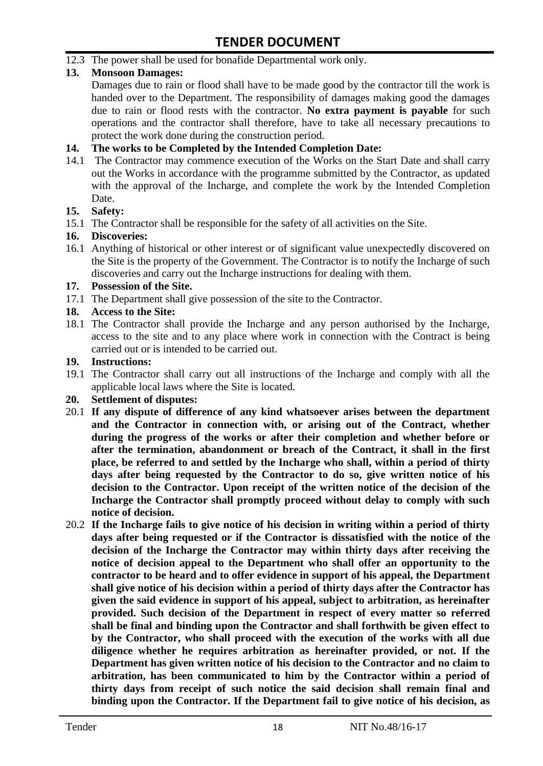12.3 The power shall be used for bonafide Departmental work only.

#### **13. Monsoon Damages:**

Damages due to rain or flood shall have to be made good by the contractor till the work is handed over to the Department. The responsibility of damages making good the damages due to rain or flood rests with the contractor. **No extra payment is payable** for such operations and the contractor shall therefore, have to take all necessary precautions to protect the work done during the construction period.

#### **14. The works to be Completed by the Intended Completion Date:**

14.1 The Contractor may commence execution of the Works on the Start Date and shall carry out the Works in accordance with the programme submitted by the Contractor, as updated with the approval of the Incharge, and complete the work by the Intended Completion Date.

#### **15. Safety:**

15.1 The Contractor shall be responsible for the safety of all activities on the Site.

#### **16. Discoveries:**

16.1 Anything of historical or other interest or of significant value unexpectedly discovered on the Site is the property of the Government. The Contractor is to notify the Incharge of such discoveries and carry out the Incharge instructions for dealing with them.

#### **17. Possession of the Site.**

17.1 The Department shall give possession of the site to the Contractor.

#### **18. Access to the Site:**

18.1 The Contractor shall provide the Incharge and any person authorised by the Incharge, access to the site and to any place where work in connection with the Contract is being carried out or is intended to be carried out.

#### **19. Instructions:**

- 19.1 The Contractor shall carry out all instructions of the Incharge and comply with all the applicable local laws where the Site is located.
- **20. Settlement of disputes:**
- 20.1 **If any dispute of difference of any kind whatsoever arises between the department and the Contractor in connection with, or arising out of the Contract, whether during the progress of the works or after their completion and whether before or after the termination, abandonment or breach of the Contract, it shall in the first place, be referred to and settled by the Incharge who shall, within a period of thirty days after being requested by the Contractor to do so, give written notice of his decision to the Contractor. Upon receipt of the written notice of the decision of the Incharge the Contractor shall promptly proceed without delay to comply with such notice of decision.**
- 20.2 **If the Incharge fails to give notice of his decision in writing within a period of thirty days after being requested or if the Contractor is dissatisfied with the notice of the decision of the Incharge the Contractor may within thirty days after receiving the notice of decision appeal to the Department who shall offer an opportunity to the contractor to be heard and to offer evidence in support of his appeal, the Department shall give notice of his decision within a period of thirty days after the Contractor has given the said evidence in support of his appeal, subject to arbitration, as hereinafter provided. Such decision of the Department in respect of every matter so referred shall be final and binding upon the Contractor and shall forthwith be given effect to by the Contractor, who shall proceed with the execution of the works with all due diligence whether he requires arbitration as hereinafter provided, or not. If the Department has given written notice of his decision to the Contractor and no claim to arbitration, has been communicated to him by the Contractor within a period of thirty days from receipt of such notice the said decision shall remain final and binding upon the Contractor. If the Department fail to give notice of his decision, as**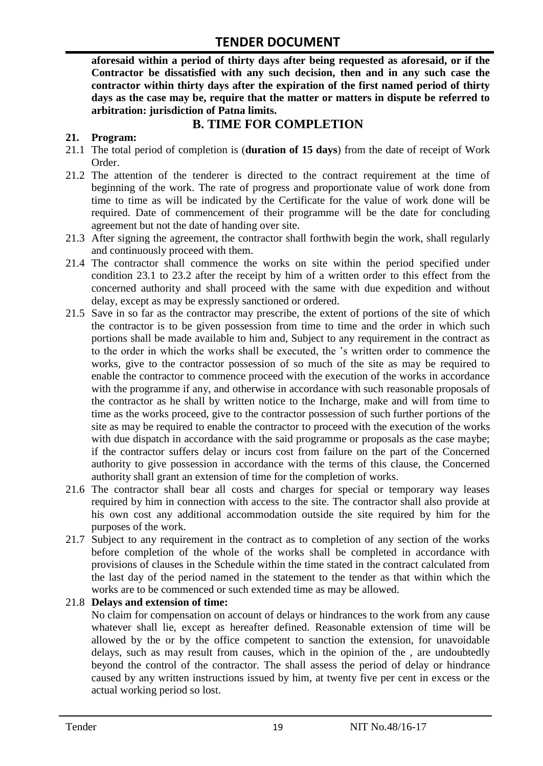**aforesaid within a period of thirty days after being requested as aforesaid, or if the Contractor be dissatisfied with any such decision, then and in any such case the contractor within thirty days after the expiration of the first named period of thirty days as the case may be, require that the matter or matters in dispute be referred to arbitration: jurisdiction of Patna limits.**

### **B. TIME FOR COMPLETION**

#### **21. Program:**

- 21.1 The total period of completion is (**duration of 15 days**) from the date of receipt of Work Order.
- 21.2 The attention of the tenderer is directed to the contract requirement at the time of beginning of the work. The rate of progress and proportionate value of work done from time to time as will be indicated by the Certificate for the value of work done will be required. Date of commencement of their programme will be the date for concluding agreement but not the date of handing over site.
- 21.3 After signing the agreement, the contractor shall forthwith begin the work, shall regularly and continuously proceed with them.
- 21.4 The contractor shall commence the works on site within the period specified under condition 23.1 to 23.2 after the receipt by him of a written order to this effect from the concerned authority and shall proceed with the same with due expedition and without delay, except as may be expressly sanctioned or ordered.
- 21.5 Save in so far as the contractor may prescribe, the extent of portions of the site of which the contractor is to be given possession from time to time and the order in which such portions shall be made available to him and, Subject to any requirement in the contract as to the order in which the works shall be executed, the "s written order to commence the works, give to the contractor possession of so much of the site as may be required to enable the contractor to commence proceed with the execution of the works in accordance with the programme if any, and otherwise in accordance with such reasonable proposals of the contractor as he shall by written notice to the Incharge, make and will from time to time as the works proceed, give to the contractor possession of such further portions of the site as may be required to enable the contractor to proceed with the execution of the works with due dispatch in accordance with the said programme or proposals as the case maybe; if the contractor suffers delay or incurs cost from failure on the part of the Concerned authority to give possession in accordance with the terms of this clause, the Concerned authority shall grant an extension of time for the completion of works.
- 21.6 The contractor shall bear all costs and charges for special or temporary way leases required by him in connection with access to the site. The contractor shall also provide at his own cost any additional accommodation outside the site required by him for the purposes of the work.
- 21.7 Subject to any requirement in the contract as to completion of any section of the works before completion of the whole of the works shall be completed in accordance with provisions of clauses in the Schedule within the time stated in the contract calculated from the last day of the period named in the statement to the tender as that within which the works are to be commenced or such extended time as may be allowed.

#### 21.8 **Delays and extension of time:**

No claim for compensation on account of delays or hindrances to the work from any cause whatever shall lie, except as hereafter defined. Reasonable extension of time will be allowed by the or by the office competent to sanction the extension, for unavoidable delays, such as may result from causes, which in the opinion of the , are undoubtedly beyond the control of the contractor. The shall assess the period of delay or hindrance caused by any written instructions issued by him, at twenty five per cent in excess or the actual working period so lost.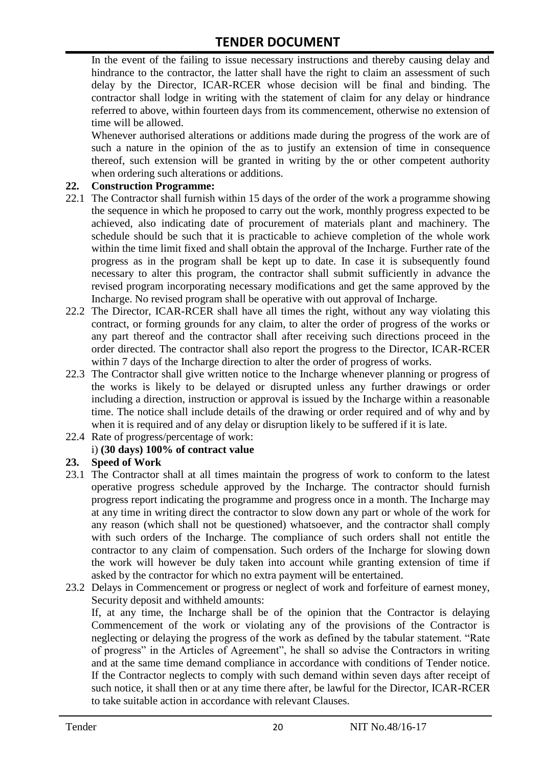In the event of the failing to issue necessary instructions and thereby causing delay and hindrance to the contractor, the latter shall have the right to claim an assessment of such delay by the Director, ICAR-RCER whose decision will be final and binding. The contractor shall lodge in writing with the statement of claim for any delay or hindrance referred to above, within fourteen days from its commencement, otherwise no extension of time will be allowed.

Whenever authorised alterations or additions made during the progress of the work are of such a nature in the opinion of the as to justify an extension of time in consequence thereof, such extension will be granted in writing by the or other competent authority when ordering such alterations or additions.

#### **22. Construction Programme:**

- 22.1 The Contractor shall furnish within 15 days of the order of the work a programme showing the sequence in which he proposed to carry out the work, monthly progress expected to be achieved, also indicating date of procurement of materials plant and machinery. The schedule should be such that it is practicable to achieve completion of the whole work within the time limit fixed and shall obtain the approval of the Incharge. Further rate of the progress as in the program shall be kept up to date. In case it is subsequently found necessary to alter this program, the contractor shall submit sufficiently in advance the revised program incorporating necessary modifications and get the same approved by the Incharge. No revised program shall be operative with out approval of Incharge.
- 22.2 The Director, ICAR-RCER shall have all times the right, without any way violating this contract, or forming grounds for any claim, to alter the order of progress of the works or any part thereof and the contractor shall after receiving such directions proceed in the order directed. The contractor shall also report the progress to the Director, ICAR-RCER within 7 days of the Incharge direction to alter the order of progress of works.
- 22.3 The Contractor shall give written notice to the Incharge whenever planning or progress of the works is likely to be delayed or disrupted unless any further drawings or order including a direction, instruction or approval is issued by the Incharge within a reasonable time. The notice shall include details of the drawing or order required and of why and by when it is required and of any delay or disruption likely to be suffered if it is late.
- 22.4 Rate of progress/percentage of work:

#### i) **(30 days) 100% of contract value**

#### **23. Speed of Work**

- 23.1 The Contractor shall at all times maintain the progress of work to conform to the latest operative progress schedule approved by the Incharge. The contractor should furnish progress report indicating the programme and progress once in a month. The Incharge may at any time in writing direct the contractor to slow down any part or whole of the work for any reason (which shall not be questioned) whatsoever, and the contractor shall comply with such orders of the Incharge. The compliance of such orders shall not entitle the contractor to any claim of compensation. Such orders of the Incharge for slowing down the work will however be duly taken into account while granting extension of time if asked by the contractor for which no extra payment will be entertained.
- 23.2 Delays in Commencement or progress or neglect of work and forfeiture of earnest money, Security deposit and withheld amounts:

If, at any time, the Incharge shall be of the opinion that the Contractor is delaying Commencement of the work or violating any of the provisions of the Contractor is neglecting or delaying the progress of the work as defined by the tabular statement. "Rate of progress" in the Articles of Agreement", he shall so advise the Contractors in writing and at the same time demand compliance in accordance with conditions of Tender notice. If the Contractor neglects to comply with such demand within seven days after receipt of such notice, it shall then or at any time there after, be lawful for the Director, ICAR-RCER to take suitable action in accordance with relevant Clauses.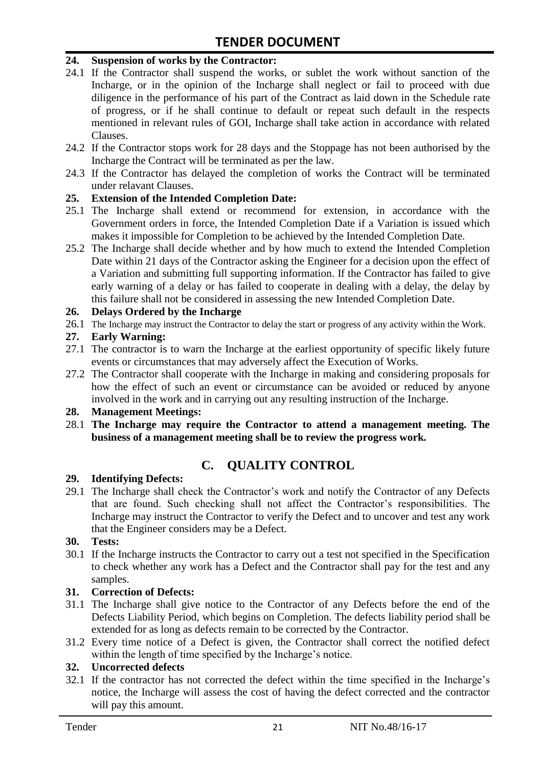#### **24. Suspension of works by the Contractor:**

- 24.1 If the Contractor shall suspend the works, or sublet the work without sanction of the Incharge, or in the opinion of the Incharge shall neglect or fail to proceed with due diligence in the performance of his part of the Contract as laid down in the Schedule rate of progress, or if he shall continue to default or repeat such default in the respects mentioned in relevant rules of GOI, Incharge shall take action in accordance with related Clauses.
- 24.2 If the Contractor stops work for 28 days and the Stoppage has not been authorised by the Incharge the Contract will be terminated as per the law.
- 24.3 If the Contractor has delayed the completion of works the Contract will be terminated under relavant Clauses.

#### **25. Extension of the Intended Completion Date:**

- 25.1 The Incharge shall extend or recommend for extension, in accordance with the Government orders in force, the Intended Completion Date if a Variation is issued which makes it impossible for Completion to be achieved by the Intended Completion Date.
- 25.2 The Incharge shall decide whether and by how much to extend the Intended Completion Date within 21 days of the Contractor asking the Engineer for a decision upon the effect of a Variation and submitting full supporting information. If the Contractor has failed to give early warning of a delay or has failed to cooperate in dealing with a delay, the delay by this failure shall not be considered in assessing the new Intended Completion Date.

#### **26. Delays Ordered by the Incharge**

26.1 The Incharge may instruct the Contractor to delay the start or progress of any activity within the Work.

#### **27. Early Warning:**

- 27.1 The contractor is to warn the Incharge at the earliest opportunity of specific likely future events or circumstances that may adversely affect the Execution of Works.
- 27.2 The Contractor shall cooperate with the Incharge in making and considering proposals for how the effect of such an event or circumstance can be avoided or reduced by anyone involved in the work and in carrying out any resulting instruction of the Incharge.

#### **28. Management Meetings:**

28.1 **The Incharge may require the Contractor to attend a management meeting. The business of a management meeting shall be to review the progress work.**

# **C. QUALITY CONTROL**

#### **29. Identifying Defects:**

29.1 The Incharge shall check the Contractor's work and notify the Contractor of any Defects that are found. Such checking shall not affect the Contractor"s responsibilities. The Incharge may instruct the Contractor to verify the Defect and to uncover and test any work that the Engineer considers may be a Defect.

#### **30. Tests:**

30.1 If the Incharge instructs the Contractor to carry out a test not specified in the Specification to check whether any work has a Defect and the Contractor shall pay for the test and any samples.

#### **31. Correction of Defects:**

- 31.1 The Incharge shall give notice to the Contractor of any Defects before the end of the Defects Liability Period, which begins on Completion. The defects liability period shall be extended for as long as defects remain to be corrected by the Contractor.
- 31.2 Every time notice of a Defect is given, the Contractor shall correct the notified defect within the length of time specified by the Incharge's notice.

#### **32. Uncorrected defects**

32.1 If the contractor has not corrected the defect within the time specified in the Incharge"s notice, the Incharge will assess the cost of having the defect corrected and the contractor will pay this amount.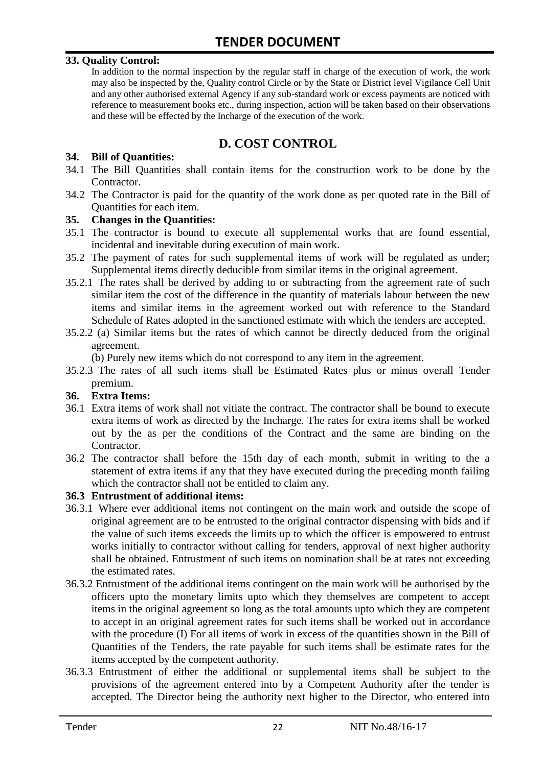#### **33. Quality Control:**

In addition to the normal inspection by the regular staff in charge of the execution of work, the work may also be inspected by the, Quality control Circle or by the State or District level Vigilance Cell Unit and any other authorised external Agency if any sub-standard work or excess payments are noticed with reference to measurement books etc., during inspection, action will be taken based on their observations and these will be effected by the Incharge of the execution of the work.

# **D. COST CONTROL**

#### **34. Bill of Quantities:**

- 34.1 The Bill Quantities shall contain items for the construction work to be done by the Contractor.
- 34.2 The Contractor is paid for the quantity of the work done as per quoted rate in the Bill of Quantities for each item.

#### **35. Changes in the Quantities:**

- 35.1 The contractor is bound to execute all supplemental works that are found essential, incidental and inevitable during execution of main work.
- 35.2 The payment of rates for such supplemental items of work will be regulated as under; Supplemental items directly deducible from similar items in the original agreement.
- 35.2.1 The rates shall be derived by adding to or subtracting from the agreement rate of such similar item the cost of the difference in the quantity of materials labour between the new items and similar items in the agreement worked out with reference to the Standard Schedule of Rates adopted in the sanctioned estimate with which the tenders are accepted.
- 35.2.2 (a) Similar items but the rates of which cannot be directly deduced from the original agreement.

(b) Purely new items which do not correspond to any item in the agreement.

35.2.3 The rates of all such items shall be Estimated Rates plus or minus overall Tender premium.

#### **36. Extra Items:**

- 36.1 Extra items of work shall not vitiate the contract. The contractor shall be bound to execute extra items of work as directed by the Incharge. The rates for extra items shall be worked out by the as per the conditions of the Contract and the same are binding on the Contractor.
- 36.2 The contractor shall before the 15th day of each month, submit in writing to the a statement of extra items if any that they have executed during the preceding month failing which the contractor shall not be entitled to claim any.

#### **36.3 Entrustment of additional items:**

- 36.3.1 Where ever additional items not contingent on the main work and outside the scope of original agreement are to be entrusted to the original contractor dispensing with bids and if the value of such items exceeds the limits up to which the officer is empowered to entrust works initially to contractor without calling for tenders, approval of next higher authority shall be obtained. Entrustment of such items on nomination shall be at rates not exceeding the estimated rates.
- 36.3.2 Entrustment of the additional items contingent on the main work will be authorised by the officers upto the monetary limits upto which they themselves are competent to accept items in the original agreement so long as the total amounts upto which they are competent to accept in an original agreement rates for such items shall be worked out in accordance with the procedure (I) For all items of work in excess of the quantities shown in the Bill of Quantities of the Tenders, the rate payable for such items shall be estimate rates for the items accepted by the competent authority.
- 36.3.3 Entrustment of either the additional or supplemental items shall be subject to the provisions of the agreement entered into by a Competent Authority after the tender is accepted. The Director being the authority next higher to the Director, who entered into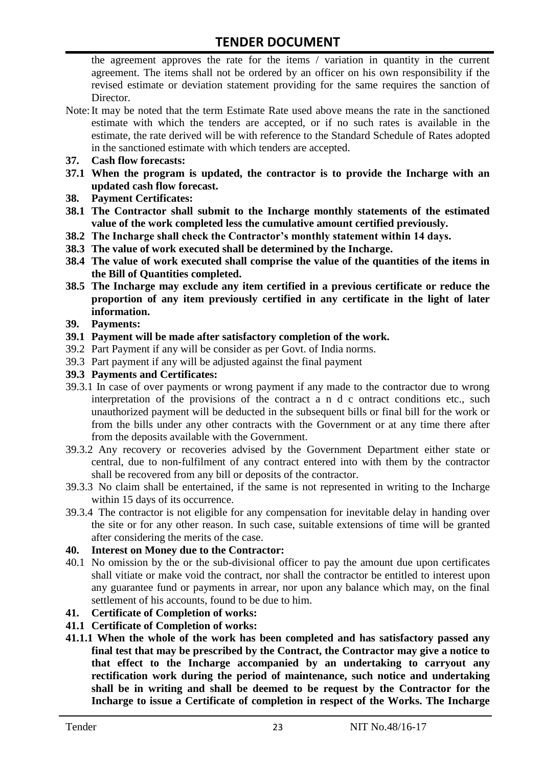the agreement approves the rate for the items / variation in quantity in the current agreement. The items shall not be ordered by an officer on his own responsibility if the revised estimate or deviation statement providing for the same requires the sanction of Director.

- Note:It may be noted that the term Estimate Rate used above means the rate in the sanctioned estimate with which the tenders are accepted, or if no such rates is available in the estimate, the rate derived will be with reference to the Standard Schedule of Rates adopted in the sanctioned estimate with which tenders are accepted.
- **37. Cash flow forecasts:**
- **37.1 When the program is updated, the contractor is to provide the Incharge with an updated cash flow forecast.**
- **38. Payment Certificates:**
- **38.1 The Contractor shall submit to the Incharge monthly statements of the estimated value of the work completed less the cumulative amount certified previously.**
- **38.2 The Incharge shall check the Contractor's monthly statement within 14 days.**
- **38.3 The value of work executed shall be determined by the Incharge.**
- **38.4 The value of work executed shall comprise the value of the quantities of the items in the Bill of Quantities completed.**
- **38.5 The Incharge may exclude any item certified in a previous certificate or reduce the proportion of any item previously certified in any certificate in the light of later information.**
- **39. Payments:**
- **39.1 Payment will be made after satisfactory completion of the work.**
- 39.2 Part Payment if any will be consider as per Govt. of India norms.
- 39.3 Part payment if any will be adjusted against the final payment
- **39.3 Payments and Certificates:**
- 39.3.1 In case of over payments or wrong payment if any made to the contractor due to wrong interpretation of the provisions of the contract a n d c ontract conditions etc., such unauthorized payment will be deducted in the subsequent bills or final bill for the work or from the bills under any other contracts with the Government or at any time there after from the deposits available with the Government.
- 39.3.2 Any recovery or recoveries advised by the Government Department either state or central, due to non-fulfilment of any contract entered into with them by the contractor shall be recovered from any bill or deposits of the contractor.
- 39.3.3 No claim shall be entertained, if the same is not represented in writing to the Incharge within 15 days of its occurrence.
- 39.3.4 The contractor is not eligible for any compensation for inevitable delay in handing over the site or for any other reason. In such case, suitable extensions of time will be granted after considering the merits of the case.

#### **40. Interest on Money due to the Contractor:**

- 40.1 No omission by the or the sub-divisional officer to pay the amount due upon certificates shall vitiate or make void the contract, nor shall the contractor be entitled to interest upon any guarantee fund or payments in arrear, nor upon any balance which may, on the final settlement of his accounts, found to be due to him.
- **41. Certificate of Completion of works:**
- **41.1 Certificate of Completion of works:**
- **41.1.1 When the whole of the work has been completed and has satisfactory passed any final test that may be prescribed by the Contract, the Contractor may give a notice to that effect to the Incharge accompanied by an undertaking to carryout any rectification work during the period of maintenance, such notice and undertaking shall be in writing and shall be deemed to be request by the Contractor for the Incharge to issue a Certificate of completion in respect of the Works. The Incharge**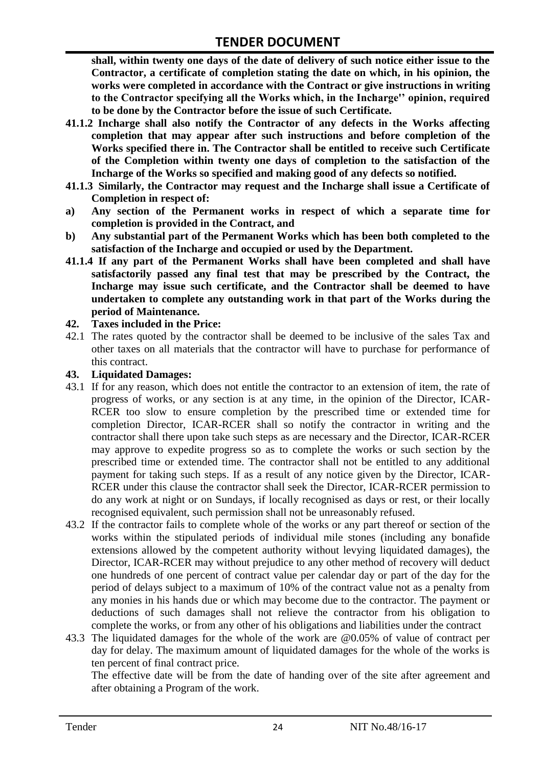**shall, within twenty one days of the date of delivery of such notice either issue to the Contractor, a certificate of completion stating the date on which, in his opinion, the works were completed in accordance with the Contract or give instructions in writing to the Contractor specifying all the Works which, in the Incharge'' opinion, required to be done by the Contractor before the issue of such Certificate.**

- **41.1.2 Incharge shall also notify the Contractor of any defects in the Works affecting completion that may appear after such instructions and before completion of the Works specified there in. The Contractor shall be entitled to receive such Certificate of the Completion within twenty one days of completion to the satisfaction of the Incharge of the Works so specified and making good of any defects so notified.**
- **41.1.3 Similarly, the Contractor may request and the Incharge shall issue a Certificate of Completion in respect of:**
- **a) Any section of the Permanent works in respect of which a separate time for completion is provided in the Contract, and**
- **b) Any substantial part of the Permanent Works which has been both completed to the satisfaction of the Incharge and occupied or used by the Department.**
- **41.1.4 If any part of the Permanent Works shall have been completed and shall have satisfactorily passed any final test that may be prescribed by the Contract, the Incharge may issue such certificate, and the Contractor shall be deemed to have undertaken to complete any outstanding work in that part of the Works during the period of Maintenance.**

#### **42. Taxes included in the Price:**

42.1 The rates quoted by the contractor shall be deemed to be inclusive of the sales Tax and other taxes on all materials that the contractor will have to purchase for performance of this contract.

#### **43. Liquidated Damages:**

- 43.1 If for any reason, which does not entitle the contractor to an extension of item, the rate of progress of works, or any section is at any time, in the opinion of the Director, ICAR-RCER too slow to ensure completion by the prescribed time or extended time for completion Director, ICAR-RCER shall so notify the contractor in writing and the contractor shall there upon take such steps as are necessary and the Director, ICAR-RCER may approve to expedite progress so as to complete the works or such section by the prescribed time or extended time. The contractor shall not be entitled to any additional payment for taking such steps. If as a result of any notice given by the Director, ICAR-RCER under this clause the contractor shall seek the Director, ICAR-RCER permission to do any work at night or on Sundays, if locally recognised as days or rest, or their locally recognised equivalent, such permission shall not be unreasonably refused.
- 43.2 If the contractor fails to complete whole of the works or any part thereof or section of the works within the stipulated periods of individual mile stones (including any bonafide extensions allowed by the competent authority without levying liquidated damages), the Director, ICAR-RCER may without prejudice to any other method of recovery will deduct one hundreds of one percent of contract value per calendar day or part of the day for the period of delays subject to a maximum of 10% of the contract value not as a penalty from any monies in his hands due or which may become due to the contractor. The payment or deductions of such damages shall not relieve the contractor from his obligation to complete the works, or from any other of his obligations and liabilities under the contract
- 43.3 The liquidated damages for the whole of the work are @0.05% of value of contract per day for delay. The maximum amount of liquidated damages for the whole of the works is ten percent of final contract price.

The effective date will be from the date of handing over of the site after agreement and after obtaining a Program of the work.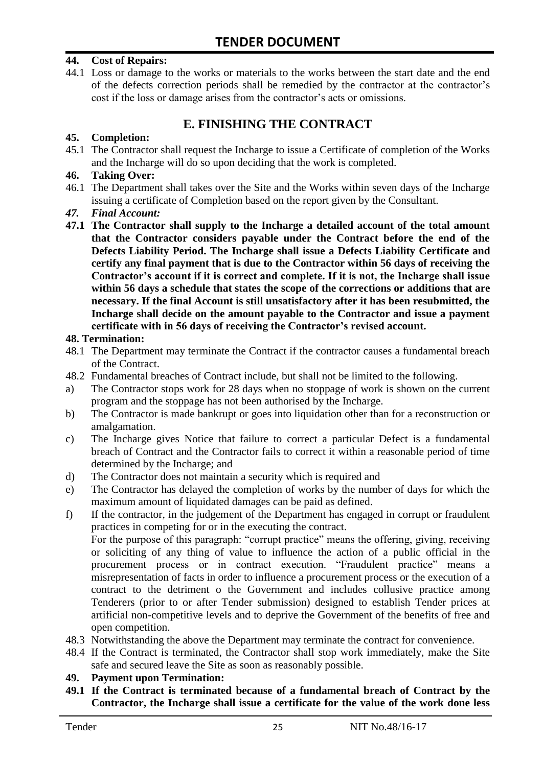#### **44. Cost of Repairs:**

44.1 Loss or damage to the works or materials to the works between the start date and the end of the defects correction periods shall be remedied by the contractor at the contractor"s cost if the loss or damage arises from the contractor's acts or omissions.

# **E. FINISHING THE CONTRACT**

#### **45. Completion:**

45.1 The Contractor shall request the Incharge to issue a Certificate of completion of the Works and the Incharge will do so upon deciding that the work is completed.

#### **46. Taking Over:**

- 46.1 The Department shall takes over the Site and the Works within seven days of the Incharge issuing a certificate of Completion based on the report given by the Consultant.
- *47. Final Account:*
- **47.1 The Contractor shall supply to the Incharge a detailed account of the total amount that the Contractor considers payable under the Contract before the end of the Defects Liability Period. The Incharge shall issue a Defects Liability Certificate and certify any final payment that is due to the Contractor within 56 days of receiving the Contractor's account if it is correct and complete. If it is not, the Incharge shall issue within 56 days a schedule that states the scope of the corrections or additions that are necessary. If the final Account is still unsatisfactory after it has been resubmitted, the Incharge shall decide on the amount payable to the Contractor and issue a payment certificate with in 56 days of receiving the Contractor's revised account.**

#### **48. Termination:**

- 48.1 The Department may terminate the Contract if the contractor causes a fundamental breach of the Contract.
- 48.2 Fundamental breaches of Contract include, but shall not be limited to the following.
- a) The Contractor stops work for 28 days when no stoppage of work is shown on the current program and the stoppage has not been authorised by the Incharge.
- b) The Contractor is made bankrupt or goes into liquidation other than for a reconstruction or amalgamation.
- c) The Incharge gives Notice that failure to correct a particular Defect is a fundamental breach of Contract and the Contractor fails to correct it within a reasonable period of time determined by the Incharge; and
- d) The Contractor does not maintain a security which is required and
- e) The Contractor has delayed the completion of works by the number of days for which the maximum amount of liquidated damages can be paid as defined.
- f) If the contractor, in the judgement of the Department has engaged in corrupt or fraudulent practices in competing for or in the executing the contract.

For the purpose of this paragraph: "corrupt practice" means the offering, giving, receiving or soliciting of any thing of value to influence the action of a public official in the procurement process or in contract execution. "Fraudulent practice" means a misrepresentation of facts in order to influence a procurement process or the execution of a contract to the detriment o the Government and includes collusive practice among Tenderers (prior to or after Tender submission) designed to establish Tender prices at artificial non-competitive levels and to deprive the Government of the benefits of free and open competition.

- 48.3 Notwithstanding the above the Department may terminate the contract for convenience.
- 48.4 If the Contract is terminated, the Contractor shall stop work immediately, make the Site safe and secured leave the Site as soon as reasonably possible.

#### **49. Payment upon Termination:**

**49.1 If the Contract is terminated because of a fundamental breach of Contract by the Contractor, the Incharge shall issue a certificate for the value of the work done less**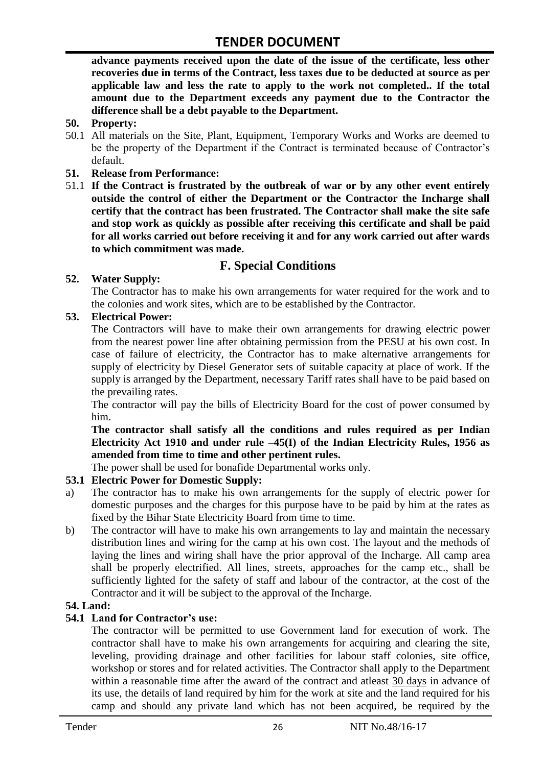**advance payments received upon the date of the issue of the certificate, less other recoveries due in terms of the Contract, less taxes due to be deducted at source as per applicable law and less the rate to apply to the work not completed.. If the total amount due to the Department exceeds any payment due to the Contractor the difference shall be a debt payable to the Department.**

- **50. Property:**
- 50.1 All materials on the Site, Plant, Equipment, Temporary Works and Works are deemed to be the property of the Department if the Contract is terminated because of Contractor's default.
- **51. Release from Performance:**
- 51.1 **If the Contract is frustrated by the outbreak of war or by any other event entirely outside the control of either the Department or the Contractor the Incharge shall certify that the contract has been frustrated. The Contractor shall make the site safe and stop work as quickly as possible after receiving this certificate and shall be paid for all works carried out before receiving it and for any work carried out after wards to which commitment was made.**

# **F. Special Conditions**

#### **52. Water Supply:**

The Contractor has to make his own arrangements for water required for the work and to the colonies and work sites, which are to be established by the Contractor.

#### **53. Electrical Power:**

The Contractors will have to make their own arrangements for drawing electric power from the nearest power line after obtaining permission from the PESU at his own cost. In case of failure of electricity, the Contractor has to make alternative arrangements for supply of electricity by Diesel Generator sets of suitable capacity at place of work. If the supply is arranged by the Department, necessary Tariff rates shall have to be paid based on the prevailing rates.

The contractor will pay the bills of Electricity Board for the cost of power consumed by him.

**The contractor shall satisfy all the conditions and rules required as per Indian Electricity Act 1910 and under rule –45(I) of the Indian Electricity Rules, 1956 as amended from time to time and other pertinent rules.**

The power shall be used for bonafide Departmental works only.

#### **53.1 Electric Power for Domestic Supply:**

- a) The contractor has to make his own arrangements for the supply of electric power for domestic purposes and the charges for this purpose have to be paid by him at the rates as fixed by the Bihar State Electricity Board from time to time.
- b) The contractor will have to make his own arrangements to lay and maintain the necessary distribution lines and wiring for the camp at his own cost. The layout and the methods of laying the lines and wiring shall have the prior approval of the Incharge. All camp area shall be properly electrified. All lines, streets, approaches for the camp etc., shall be sufficiently lighted for the safety of staff and labour of the contractor, at the cost of the Contractor and it will be subject to the approval of the Incharge.

#### **54. Land:**

#### **54.1 Land for Contractor's use:**

The contractor will be permitted to use Government land for execution of work. The contractor shall have to make his own arrangements for acquiring and clearing the site, leveling, providing drainage and other facilities for labour staff colonies, site office, workshop or stores and for related activities. The Contractor shall apply to the Department within a reasonable time after the award of the contract and atleast 30 days in advance of its use, the details of land required by him for the work at site and the land required for his camp and should any private land which has not been acquired, be required by the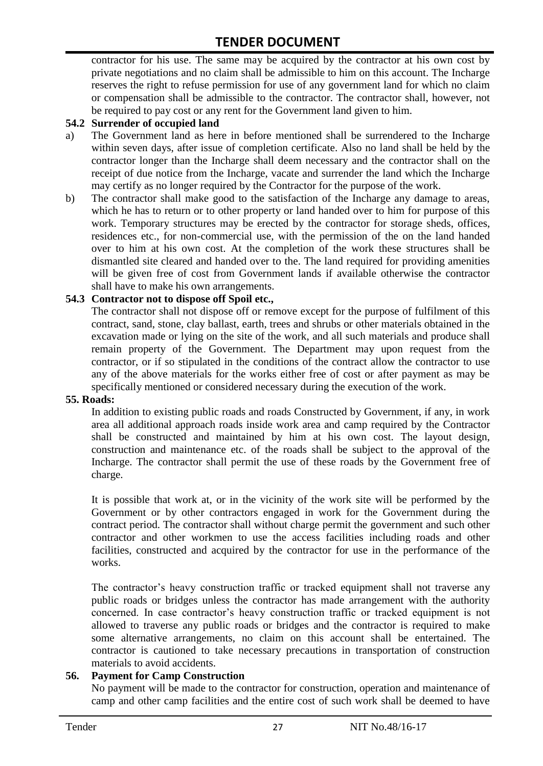contractor for his use. The same may be acquired by the contractor at his own cost by private negotiations and no claim shall be admissible to him on this account. The Incharge reserves the right to refuse permission for use of any government land for which no claim or compensation shall be admissible to the contractor. The contractor shall, however, not be required to pay cost or any rent for the Government land given to him.

#### **54.2 Surrender of occupied land**

- a) The Government land as here in before mentioned shall be surrendered to the Incharge within seven days, after issue of completion certificate. Also no land shall be held by the contractor longer than the Incharge shall deem necessary and the contractor shall on the receipt of due notice from the Incharge, vacate and surrender the land which the Incharge may certify as no longer required by the Contractor for the purpose of the work.
- b) The contractor shall make good to the satisfaction of the Incharge any damage to areas, which he has to return or to other property or land handed over to him for purpose of this work. Temporary structures may be erected by the contractor for storage sheds, offices, residences etc., for non-commercial use, with the permission of the on the land handed over to him at his own cost. At the completion of the work these structures shall be dismantled site cleared and handed over to the. The land required for providing amenities will be given free of cost from Government lands if available otherwise the contractor shall have to make his own arrangements.

#### **54.3 Contractor not to dispose off Spoil etc.,**

The contractor shall not dispose off or remove except for the purpose of fulfilment of this contract, sand, stone, clay ballast, earth, trees and shrubs or other materials obtained in the excavation made or lying on the site of the work, and all such materials and produce shall remain property of the Government. The Department may upon request from the contractor, or if so stipulated in the conditions of the contract allow the contractor to use any of the above materials for the works either free of cost or after payment as may be specifically mentioned or considered necessary during the execution of the work.

#### **55. Roads:**

In addition to existing public roads and roads Constructed by Government, if any, in work area all additional approach roads inside work area and camp required by the Contractor shall be constructed and maintained by him at his own cost. The layout design, construction and maintenance etc. of the roads shall be subject to the approval of the Incharge. The contractor shall permit the use of these roads by the Government free of charge.

It is possible that work at, or in the vicinity of the work site will be performed by the Government or by other contractors engaged in work for the Government during the contract period. The contractor shall without charge permit the government and such other contractor and other workmen to use the access facilities including roads and other facilities, constructed and acquired by the contractor for use in the performance of the works.

The contractor's heavy construction traffic or tracked equipment shall not traverse any public roads or bridges unless the contractor has made arrangement with the authority concerned. In case contractor"s heavy construction traffic or tracked equipment is not allowed to traverse any public roads or bridges and the contractor is required to make some alternative arrangements, no claim on this account shall be entertained. The contractor is cautioned to take necessary precautions in transportation of construction materials to avoid accidents.

#### **56. Payment for Camp Construction**

No payment will be made to the contractor for construction, operation and maintenance of camp and other camp facilities and the entire cost of such work shall be deemed to have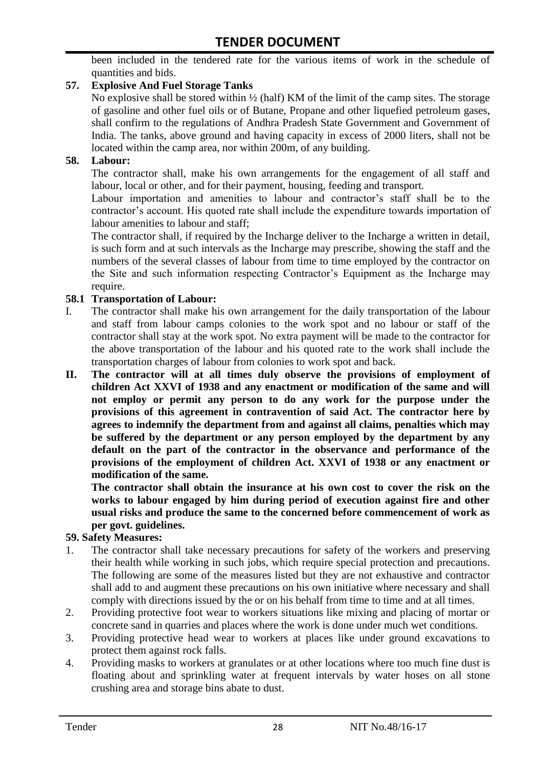been included in the tendered rate for the various items of work in the schedule of quantities and bids.

#### **57. Explosive And Fuel Storage Tanks**

No explosive shall be stored within ½ (half) KM of the limit of the camp sites. The storage of gasoline and other fuel oils or of Butane, Propane and other liquefied petroleum gases, shall confirm to the regulations of Andhra Pradesh State Government and Government of India. The tanks, above ground and having capacity in excess of 2000 liters, shall not be located within the camp area, nor within 200m, of any building.

#### **58. Labour:**

The contractor shall, make his own arrangements for the engagement of all staff and labour, local or other, and for their payment, housing, feeding and transport.

Labour importation and amenities to labour and contractor's staff shall be to the contractor's account. His quoted rate shall include the expenditure towards importation of labour amenities to labour and staff;

The contractor shall, if required by the Incharge deliver to the Incharge a written in detail, is such form and at such intervals as the Incharge may prescribe, showing the staff and the numbers of the several classes of labour from time to time employed by the contractor on the Site and such information respecting Contractor"s Equipment as the Incharge may require.

#### **58.1 Transportation of Labour:**

- I. The contractor shall make his own arrangement for the daily transportation of the labour and staff from labour camps colonies to the work spot and no labour or staff of the contractor shall stay at the work spot. No extra payment will be made to the contractor for the above transportation of the labour and his quoted rate to the work shall include the transportation charges of labour from colonies to work spot and back.
- **II. The contractor will at all times duly observe the provisions of employment of children Act XXVI of 1938 and any enactment or modification of the same and will not employ or permit any person to do any work for the purpose under the provisions of this agreement in contravention of said Act. The contractor here by agrees to indemnify the department from and against all claims, penalties which may be suffered by the department or any person employed by the department by any default on the part of the contractor in the observance and performance of the provisions of the employment of children Act. XXVI of 1938 or any enactment or modification of the same.**

**The contractor shall obtain the insurance at his own cost to cover the risk on the works to labour engaged by him during period of execution against fire and other usual risks and produce the same to the concerned before commencement of work as per govt. guidelines.**

#### **59. Safety Measures:**

- 1. The contractor shall take necessary precautions for safety of the workers and preserving their health while working in such jobs, which require special protection and precautions. The following are some of the measures listed but they are not exhaustive and contractor shall add to and augment these precautions on his own initiative where necessary and shall comply with directions issued by the or on his behalf from time to time and at all times.
- 2. Providing protective foot wear to workers situations like mixing and placing of mortar or concrete sand in quarries and places where the work is done under much wet conditions.
- 3. Providing protective head wear to workers at places like under ground excavations to protect them against rock falls.
- 4. Providing masks to workers at granulates or at other locations where too much fine dust is floating about and sprinkling water at frequent intervals by water hoses on all stone crushing area and storage bins abate to dust.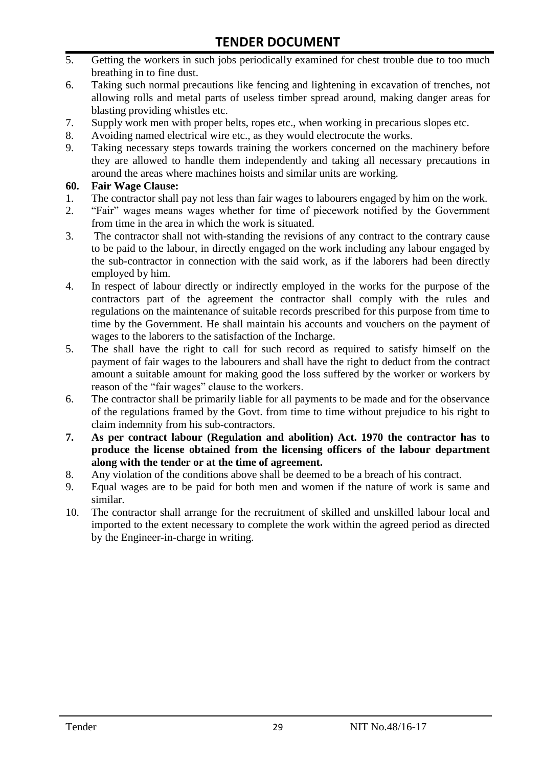- 5. Getting the workers in such jobs periodically examined for chest trouble due to too much breathing in to fine dust.
- 6. Taking such normal precautions like fencing and lightening in excavation of trenches, not allowing rolls and metal parts of useless timber spread around, making danger areas for blasting providing whistles etc.
- 7. Supply work men with proper belts, ropes etc., when working in precarious slopes etc.
- 8. Avoiding named electrical wire etc., as they would electrocute the works.
- 9. Taking necessary steps towards training the workers concerned on the machinery before they are allowed to handle them independently and taking all necessary precautions in around the areas where machines hoists and similar units are working.

#### **60. Fair Wage Clause:**

- 1. The contractor shall pay not less than fair wages to labourers engaged by him on the work.
- 2. "Fair" wages means wages whether for time of piecework notified by the Government from time in the area in which the work is situated.
- 3. The contractor shall not with-standing the revisions of any contract to the contrary cause to be paid to the labour, in directly engaged on the work including any labour engaged by the sub-contractor in connection with the said work, as if the laborers had been directly employed by him.
- 4. In respect of labour directly or indirectly employed in the works for the purpose of the contractors part of the agreement the contractor shall comply with the rules and regulations on the maintenance of suitable records prescribed for this purpose from time to time by the Government. He shall maintain his accounts and vouchers on the payment of wages to the laborers to the satisfaction of the Incharge.
- 5. The shall have the right to call for such record as required to satisfy himself on the payment of fair wages to the labourers and shall have the right to deduct from the contract amount a suitable amount for making good the loss suffered by the worker or workers by reason of the "fair wages" clause to the workers.
- 6. The contractor shall be primarily liable for all payments to be made and for the observance of the regulations framed by the Govt. from time to time without prejudice to his right to claim indemnity from his sub-contractors.
- **7. As per contract labour (Regulation and abolition) Act. 1970 the contractor has to produce the license obtained from the licensing officers of the labour department along with the tender or at the time of agreement.**
- 8. Any violation of the conditions above shall be deemed to be a breach of his contract.
- 9. Equal wages are to be paid for both men and women if the nature of work is same and similar.
- 10. The contractor shall arrange for the recruitment of skilled and unskilled labour local and imported to the extent necessary to complete the work within the agreed period as directed by the Engineer-in-charge in writing.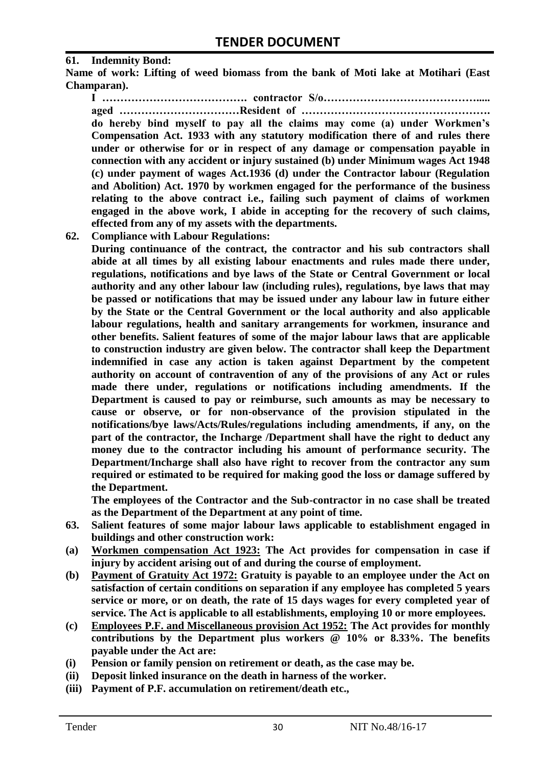#### **61. Indemnity Bond:**

**Name of work: Lifting of weed biomass from the bank of Moti lake at Motihari (East Champaran).**

**I …………………………………. contractor S/o……………………………………..... aged ……………………………Resident of ……………………………………………. do hereby bind myself to pay all the claims may come (a) under Workmen's Compensation Act. 1933 with any statutory modification there of and rules there under or otherwise for or in respect of any damage or compensation payable in connection with any accident or injury sustained (b) under Minimum wages Act 1948 (c) under payment of wages Act.1936 (d) under the Contractor labour (Regulation and Abolition) Act. 1970 by workmen engaged for the performance of the business relating to the above contract i.e., failing such payment of claims of workmen engaged in the above work, I abide in accepting for the recovery of such claims, effected from any of my assets with the departments.**

**62. Compliance with Labour Regulations:**

**During continuance of the contract, the contractor and his sub contractors shall abide at all times by all existing labour enactments and rules made there under, regulations, notifications and bye laws of the State or Central Government or local authority and any other labour law (including rules), regulations, bye laws that may be passed or notifications that may be issued under any labour law in future either by the State or the Central Government or the local authority and also applicable labour regulations, health and sanitary arrangements for workmen, insurance and other benefits. Salient features of some of the major labour laws that are applicable to construction industry are given below. The contractor shall keep the Department indemnified in case any action is taken against Department by the competent authority on account of contravention of any of the provisions of any Act or rules made there under, regulations or notifications including amendments. If the Department is caused to pay or reimburse, such amounts as may be necessary to cause or observe, or for non-observance of the provision stipulated in the notifications/bye laws/Acts/Rules/regulations including amendments, if any, on the part of the contractor, the Incharge /Department shall have the right to deduct any money due to the contractor including his amount of performance security. The Department/Incharge shall also have right to recover from the contractor any sum required or estimated to be required for making good the loss or damage suffered by the Department.**

**The employees of the Contractor and the Sub-contractor in no case shall be treated as the Department of the Department at any point of time.**

- **63. Salient features of some major labour laws applicable to establishment engaged in buildings and other construction work:**
- **(a) Workmen compensation Act 1923: The Act provides for compensation in case if injury by accident arising out of and during the course of employment.**
- **(b) Payment of Gratuity Act 1972: Gratuity is payable to an employee under the Act on satisfaction of certain conditions on separation if any employee has completed 5 years service or more, or on death, the rate of 15 days wages for every completed year of service. The Act is applicable to all establishments, employing 10 or more employees.**
- **(c) Employees P.F. and Miscellaneous provision Act 1952: The Act provides for monthly contributions by the Department plus workers @ 10% or 8.33%. The benefits payable under the Act are:**
- **(i) Pension or family pension on retirement or death, as the case may be.**
- **(ii) Deposit linked insurance on the death in harness of the worker.**
- **(iii) Payment of P.F. accumulation on retirement/death etc.,**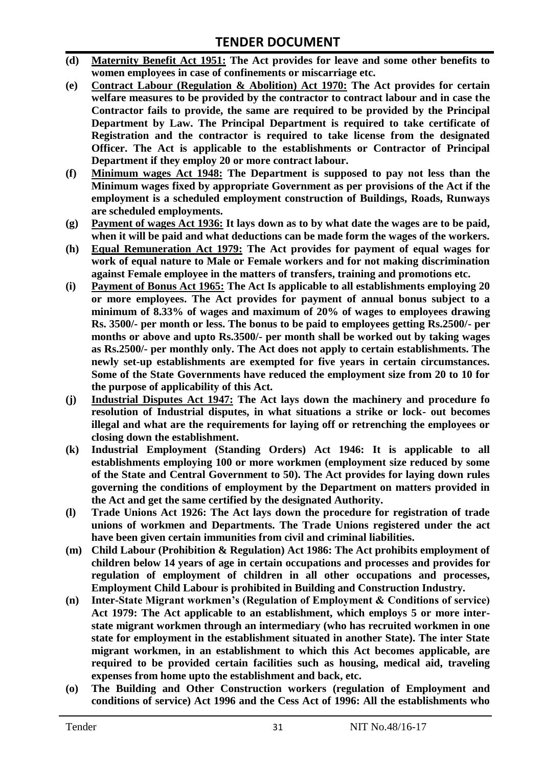- **(d) Maternity Benefit Act 1951: The Act provides for leave and some other benefits to women employees in case of confinements or miscarriage etc.**
- **(e) Contract Labour (Regulation & Abolition) Act 1970: The Act provides for certain**  welfare measures to be provided by the contractor to contract labour and in case the **Contractor fails to provide, the same are required to be provided by the Principal Department by Law. The Principal Department is required to take certificate of Registration and the contractor is required to take license from the designated Officer. The Act is applicable to the establishments or Contractor of Principal Department if they employ 20 or more contract labour.**
- **(f) Minimum wages Act 1948: The Department is supposed to pay not less than the Minimum wages fixed by appropriate Government as per provisions of the Act if the employment is a scheduled employment construction of Buildings, Roads, Runways are scheduled employments.**
- **(g) Payment of wages Act 1936: It lays down as to by what date the wages are to be paid, when it will be paid and what deductions can be made form the wages of the workers.**
- **(h) Equal Remuneration Act 1979: The Act provides for payment of equal wages for work of equal nature to Male or Female workers and for not making discrimination against Female employee in the matters of transfers, training and promotions etc.**
- **(i) Payment of Bonus Act 1965: The Act Is applicable to all establishments employing 20 or more employees. The Act provides for payment of annual bonus subject to a minimum of 8.33% of wages and maximum of 20% of wages to employees drawing Rs. 3500/- per month or less. The bonus to be paid to employees getting Rs.2500/- per months or above and upto Rs.3500/- per month shall be worked out by taking wages as Rs.2500/- per monthly only. The Act does not apply to certain establishments. The newly set-up establishments are exempted for five years in certain circumstances. Some of the State Governments have reduced the employment size from 20 to 10 for the purpose of applicability of this Act.**
- **(j) Industrial Disputes Act 1947: The Act lays down the machinery and procedure fo resolution of Industrial disputes, in what situations a strike or lock- out becomes illegal and what are the requirements for laying off or retrenching the employees or closing down the establishment.**
- **(k) Industrial Employment (Standing Orders) Act 1946: It is applicable to all establishments employing 100 or more workmen (employment size reduced by some of the State and Central Government to 50). The Act provides for laying down rules governing the conditions of employment by the Department on matters provided in the Act and get the same certified by the designated Authority.**
- **(l) Trade Unions Act 1926: The Act lays down the procedure for registration of trade unions of workmen and Departments. The Trade Unions registered under the act have been given certain immunities from civil and criminal liabilities.**
- **(m) Child Labour (Prohibition & Regulation) Act 1986: The Act prohibits employment of children below 14 years of age in certain occupations and processes and provides for regulation of employment of children in all other occupations and processes, Employment Child Labour is prohibited in Building and Construction Industry.**
- **(n) Inter-State Migrant workmen's (Regulation of Employment & Conditions of service) Act 1979: The Act applicable to an establishment, which employs 5 or more interstate migrant workmen through an intermediary (who has recruited workmen in one state for employment in the establishment situated in another State). The inter State migrant workmen, in an establishment to which this Act becomes applicable, are required to be provided certain facilities such as housing, medical aid, traveling expenses from home upto the establishment and back, etc.**
- **(o) The Building and Other Construction workers (regulation of Employment and conditions of service) Act 1996 and the Cess Act of 1996: All the establishments who**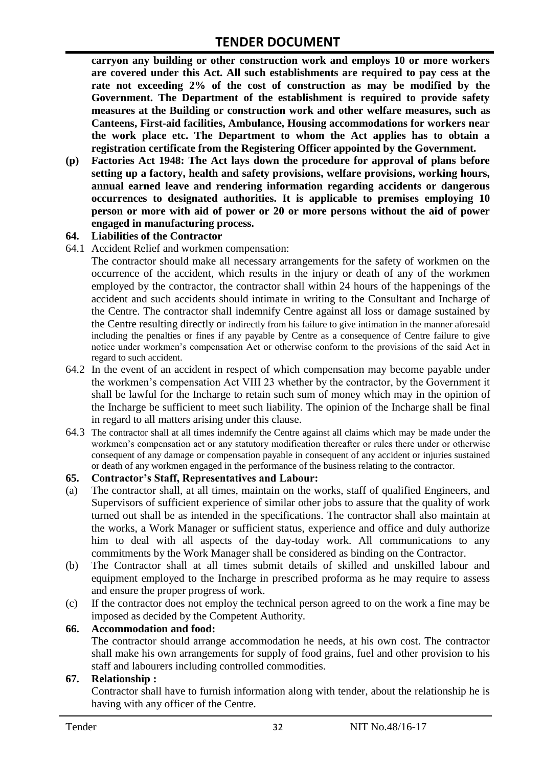**carryon any building or other construction work and employs 10 or more workers are covered under this Act. All such establishments are required to pay cess at the rate not exceeding 2% of the cost of construction as may be modified by the Government. The Department of the establishment is required to provide safety measures at the Building or construction work and other welfare measures, such as Canteens, First-aid facilities, Ambulance, Housing accommodations for workers near the work place etc. The Department to whom the Act applies has to obtain a registration certificate from the Registering Officer appointed by the Government.**

**(p) Factories Act 1948: The Act lays down the procedure for approval of plans before setting up a factory, health and safety provisions, welfare provisions, working hours, annual earned leave and rendering information regarding accidents or dangerous occurrences to designated authorities. It is applicable to premises employing 10 person or more with aid of power or 20 or more persons without the aid of power engaged in manufacturing process.**

#### **64. Liabilities of the Contractor**

64.1 Accident Relief and workmen compensation:

The contractor should make all necessary arrangements for the safety of workmen on the occurrence of the accident, which results in the injury or death of any of the workmen employed by the contractor, the contractor shall within 24 hours of the happenings of the accident and such accidents should intimate in writing to the Consultant and Incharge of the Centre. The contractor shall indemnify Centre against all loss or damage sustained by the Centre resulting directly or indirectly from his failure to give intimation in the manner aforesaid including the penalties or fines if any payable by Centre as a consequence of Centre failure to give notice under workmen"s compensation Act or otherwise conform to the provisions of the said Act in regard to such accident.

- 64.2 In the event of an accident in respect of which compensation may become payable under the workmen"s compensation Act VIII 23 whether by the contractor, by the Government it shall be lawful for the Incharge to retain such sum of money which may in the opinion of the Incharge be sufficient to meet such liability. The opinion of the Incharge shall be final in regard to all matters arising under this clause.
- 64.3 The contractor shall at all times indemnify the Centre against all claims which may be made under the workmen"s compensation act or any statutory modification thereafter or rules there under or otherwise consequent of any damage or compensation payable in consequent of any accident or injuries sustained or death of any workmen engaged in the performance of the business relating to the contractor.

#### **65. Contractor's Staff, Representatives and Labour:**

- (a) The contractor shall, at all times, maintain on the works, staff of qualified Engineers, and Supervisors of sufficient experience of similar other jobs to assure that the quality of work turned out shall be as intended in the specifications. The contractor shall also maintain at the works, a Work Manager or sufficient status, experience and office and duly authorize him to deal with all aspects of the day-today work. All communications to any commitments by the Work Manager shall be considered as binding on the Contractor.
- (b) The Contractor shall at all times submit details of skilled and unskilled labour and equipment employed to the Incharge in prescribed proforma as he may require to assess and ensure the proper progress of work.
- (c) If the contractor does not employ the technical person agreed to on the work a fine may be imposed as decided by the Competent Authority.

#### **66. Accommodation and food:**

The contractor should arrange accommodation he needs, at his own cost. The contractor shall make his own arrangements for supply of food grains, fuel and other provision to his staff and labourers including controlled commodities.

#### **67. Relationship :**

Contractor shall have to furnish information along with tender, about the relationship he is having with any officer of the Centre.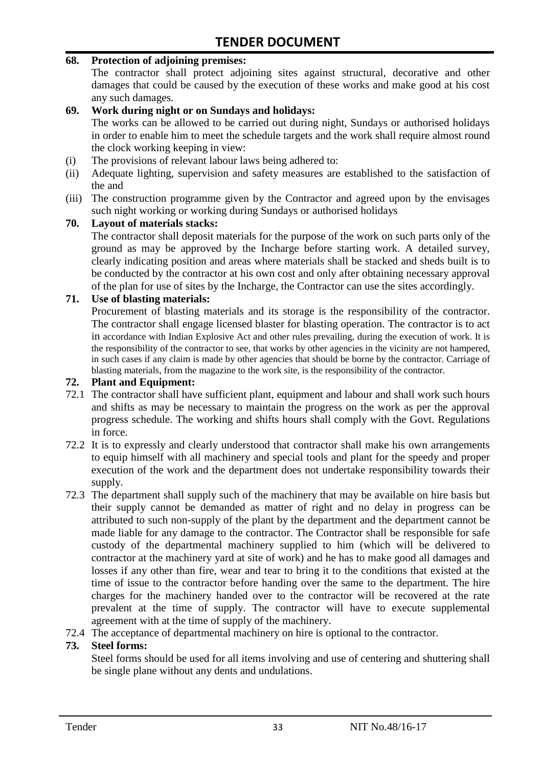#### **68. Protection of adjoining premises:**

The contractor shall protect adjoining sites against structural, decorative and other damages that could be caused by the execution of these works and make good at his cost any such damages.

#### **69. Work during night or on Sundays and holidays:**

The works can be allowed to be carried out during night, Sundays or authorised holidays in order to enable him to meet the schedule targets and the work shall require almost round the clock working keeping in view:

- (i) The provisions of relevant labour laws being adhered to:
- (ii) Adequate lighting, supervision and safety measures are established to the satisfaction of the and
- (iii) The construction programme given by the Contractor and agreed upon by the envisages such night working or working during Sundays or authorised holidays

#### **70. Layout of materials stacks:**

The contractor shall deposit materials for the purpose of the work on such parts only of the ground as may be approved by the Incharge before starting work. A detailed survey, clearly indicating position and areas where materials shall be stacked and sheds built is to be conducted by the contractor at his own cost and only after obtaining necessary approval of the plan for use of sites by the Incharge, the Contractor can use the sites accordingly.

#### **71. Use of blasting materials:**

Procurement of blasting materials and its storage is the responsibility of the contractor. The contractor shall engage licensed blaster for blasting operation. The contractor is to act in accordance with Indian Explosive Act and other rules prevailing, during the execution of work. It is the responsibility of the contractor to see, that works by other agencies in the vicinity are not hampered, in such cases if any claim is made by other agencies that should be borne by the contractor. Carriage of blasting materials, from the magazine to the work site, is the responsibility of the contractor.

#### **72. Plant and Equipment:**

- 72.1 The contractor shall have sufficient plant, equipment and labour and shall work such hours and shifts as may be necessary to maintain the progress on the work as per the approval progress schedule. The working and shifts hours shall comply with the Govt. Regulations in force.
- 72.2 It is to expressly and clearly understood that contractor shall make his own arrangements to equip himself with all machinery and special tools and plant for the speedy and proper execution of the work and the department does not undertake responsibility towards their supply.
- 72.3 The department shall supply such of the machinery that may be available on hire basis but their supply cannot be demanded as matter of right and no delay in progress can be attributed to such non-supply of the plant by the department and the department cannot be made liable for any damage to the contractor. The Contractor shall be responsible for safe custody of the departmental machinery supplied to him (which will be delivered to contractor at the machinery yard at site of work) and he has to make good all damages and losses if any other than fire, wear and tear to bring it to the conditions that existed at the time of issue to the contractor before handing over the same to the department. The hire charges for the machinery handed over to the contractor will be recovered at the rate prevalent at the time of supply. The contractor will have to execute supplemental agreement with at the time of supply of the machinery.
- 72.4 The acceptance of departmental machinery on hire is optional to the contractor.

#### **73. Steel forms:**

Steel forms should be used for all items involving and use of centering and shuttering shall be single plane without any dents and undulations.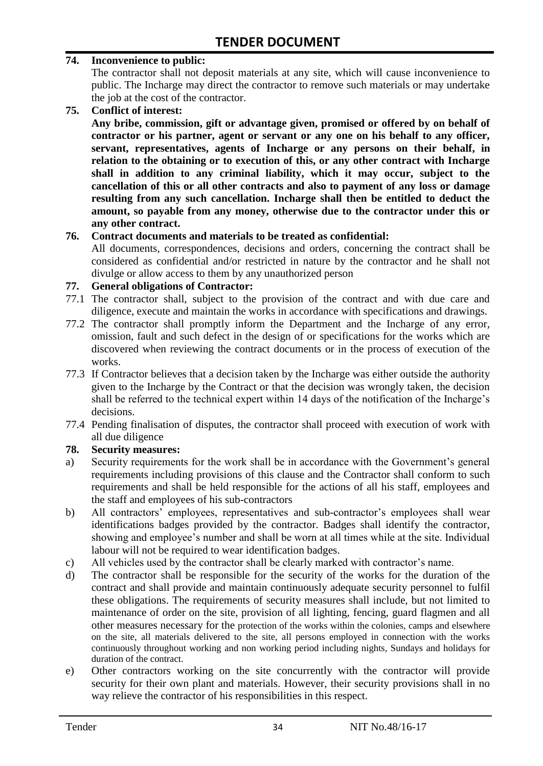#### **74. Inconvenience to public:**

The contractor shall not deposit materials at any site, which will cause inconvenience to public. The Incharge may direct the contractor to remove such materials or may undertake the job at the cost of the contractor.

**75. Conflict of interest:**

**Any bribe, commission, gift or advantage given, promised or offered by on behalf of contractor or his partner, agent or servant or any one on his behalf to any officer, servant, representatives, agents of Incharge or any persons on their behalf, in relation to the obtaining or to execution of this, or any other contract with Incharge shall in addition to any criminal liability, which it may occur, subject to the cancellation of this or all other contracts and also to payment of any loss or damage resulting from any such cancellation. Incharge shall then be entitled to deduct the amount, so payable from any money, otherwise due to the contractor under this or any other contract.**

#### **76. Contract documents and materials to be treated as confidential:**

All documents, correspondences, decisions and orders, concerning the contract shall be considered as confidential and/or restricted in nature by the contractor and he shall not divulge or allow access to them by any unauthorized person

#### **77. General obligations of Contractor:**

- 77.1 The contractor shall, subject to the provision of the contract and with due care and diligence, execute and maintain the works in accordance with specifications and drawings.
- 77.2 The contractor shall promptly inform the Department and the Incharge of any error, omission, fault and such defect in the design of or specifications for the works which are discovered when reviewing the contract documents or in the process of execution of the works.
- 77.3 If Contractor believes that a decision taken by the Incharge was either outside the authority given to the Incharge by the Contract or that the decision was wrongly taken, the decision shall be referred to the technical expert within 14 days of the notification of the Incharge's decisions.
- 77.4 Pending finalisation of disputes, the contractor shall proceed with execution of work with all due diligence

#### **78. Security measures:**

- a) Security requirements for the work shall be in accordance with the Government's general requirements including provisions of this clause and the Contractor shall conform to such requirements and shall be held responsible for the actions of all his staff, employees and the staff and employees of his sub-contractors
- b) All contractors' employees, representatives and sub-contractor's employees shall wear identifications badges provided by the contractor. Badges shall identify the contractor, showing and employee's number and shall be worn at all times while at the site. Individual labour will not be required to wear identification badges.
- c) All vehicles used by the contractor shall be clearly marked with contractor"s name.
- d) The contractor shall be responsible for the security of the works for the duration of the contract and shall provide and maintain continuously adequate security personnel to fulfil these obligations. The requirements of security measures shall include, but not limited to maintenance of order on the site, provision of all lighting, fencing, guard flagmen and all other measures necessary for the protection of the works within the colonies, camps and elsewhere on the site, all materials delivered to the site, all persons employed in connection with the works continuously throughout working and non working period including nights, Sundays and holidays for duration of the contract.
- e) Other contractors working on the site concurrently with the contractor will provide security for their own plant and materials. However, their security provisions shall in no way relieve the contractor of his responsibilities in this respect.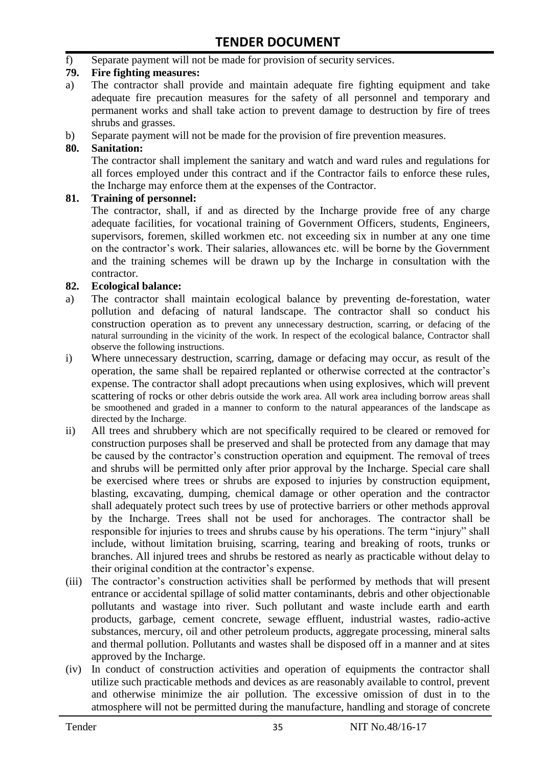f) Separate payment will not be made for provision of security services.

#### **79. Fire fighting measures:**

- a) The contractor shall provide and maintain adequate fire fighting equipment and take adequate fire precaution measures for the safety of all personnel and temporary and permanent works and shall take action to prevent damage to destruction by fire of trees shrubs and grasses.
- b) Separate payment will not be made for the provision of fire prevention measures.

#### **80. Sanitation:**

The contractor shall implement the sanitary and watch and ward rules and regulations for all forces employed under this contract and if the Contractor fails to enforce these rules, the Incharge may enforce them at the expenses of the Contractor.

#### **81. Training of personnel:**

The contractor, shall, if and as directed by the Incharge provide free of any charge adequate facilities, for vocational training of Government Officers, students, Engineers, supervisors, foremen, skilled workmen etc. not exceeding six in number at any one time on the contractor"s work. Their salaries, allowances etc. will be borne by the Government and the training schemes will be drawn up by the Incharge in consultation with the contractor.

#### **82. Ecological balance:**

- a) The contractor shall maintain ecological balance by preventing de-forestation, water pollution and defacing of natural landscape. The contractor shall so conduct his construction operation as to prevent any unnecessary destruction, scarring, or defacing of the natural surrounding in the vicinity of the work. In respect of the ecological balance, Contractor shall observe the following instructions.
- i) Where unnecessary destruction, scarring, damage or defacing may occur, as result of the operation, the same shall be repaired replanted or otherwise corrected at the contractor"s expense. The contractor shall adopt precautions when using explosives, which will prevent scattering of rocks or other debris outside the work area. All work area including borrow areas shall be smoothened and graded in a manner to conform to the natural appearances of the landscape as directed by the Incharge.
- ii) All trees and shrubbery which are not specifically required to be cleared or removed for construction purposes shall be preserved and shall be protected from any damage that may be caused by the contractor's construction operation and equipment. The removal of trees and shrubs will be permitted only after prior approval by the Incharge. Special care shall be exercised where trees or shrubs are exposed to injuries by construction equipment, blasting, excavating, dumping, chemical damage or other operation and the contractor shall adequately protect such trees by use of protective barriers or other methods approval by the Incharge. Trees shall not be used for anchorages. The contractor shall be responsible for injuries to trees and shrubs cause by his operations. The term "injury" shall include, without limitation bruising, scarring, tearing and breaking of roots, trunks or branches. All injured trees and shrubs be restored as nearly as practicable without delay to their original condition at the contractor"s expense.
- (iii) The contractor's construction activities shall be performed by methods that will present entrance or accidental spillage of solid matter contaminants, debris and other objectionable pollutants and wastage into river. Such pollutant and waste include earth and earth products, garbage, cement concrete, sewage effluent, industrial wastes, radio-active substances, mercury, oil and other petroleum products, aggregate processing, mineral salts and thermal pollution. Pollutants and wastes shall be disposed off in a manner and at sites approved by the Incharge.
- (iv) In conduct of construction activities and operation of equipments the contractor shall utilize such practicable methods and devices as are reasonably available to control, prevent and otherwise minimize the air pollution. The excessive omission of dust in to the atmosphere will not be permitted during the manufacture, handling and storage of concrete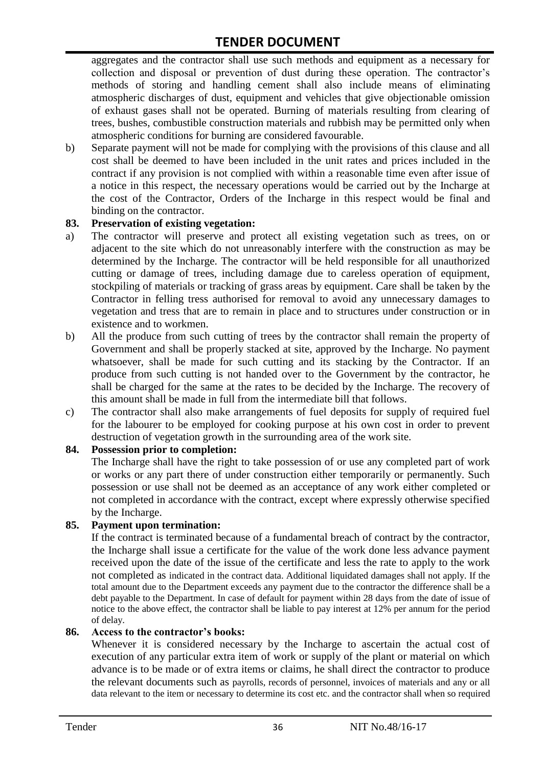aggregates and the contractor shall use such methods and equipment as a necessary for collection and disposal or prevention of dust during these operation. The contractor's methods of storing and handling cement shall also include means of eliminating atmospheric discharges of dust, equipment and vehicles that give objectionable omission of exhaust gases shall not be operated. Burning of materials resulting from clearing of trees, bushes, combustible construction materials and rubbish may be permitted only when atmospheric conditions for burning are considered favourable.

b) Separate payment will not be made for complying with the provisions of this clause and all cost shall be deemed to have been included in the unit rates and prices included in the contract if any provision is not complied with within a reasonable time even after issue of a notice in this respect, the necessary operations would be carried out by the Incharge at the cost of the Contractor, Orders of the Incharge in this respect would be final and binding on the contractor.

#### **83. Preservation of existing vegetation:**

- a) The contractor will preserve and protect all existing vegetation such as trees, on or adjacent to the site which do not unreasonably interfere with the construction as may be determined by the Incharge. The contractor will be held responsible for all unauthorized cutting or damage of trees, including damage due to careless operation of equipment, stockpiling of materials or tracking of grass areas by equipment. Care shall be taken by the Contractor in felling tress authorised for removal to avoid any unnecessary damages to vegetation and tress that are to remain in place and to structures under construction or in existence and to workmen.
- b) All the produce from such cutting of trees by the contractor shall remain the property of Government and shall be properly stacked at site, approved by the Incharge. No payment whatsoever, shall be made for such cutting and its stacking by the Contractor. If an produce from such cutting is not handed over to the Government by the contractor, he shall be charged for the same at the rates to be decided by the Incharge. The recovery of this amount shall be made in full from the intermediate bill that follows.
- c) The contractor shall also make arrangements of fuel deposits for supply of required fuel for the labourer to be employed for cooking purpose at his own cost in order to prevent destruction of vegetation growth in the surrounding area of the work site.

#### **84. Possession prior to completion:**

The Incharge shall have the right to take possession of or use any completed part of work or works or any part there of under construction either temporarily or permanently. Such possession or use shall not be deemed as an acceptance of any work either completed or not completed in accordance with the contract, except where expressly otherwise specified by the Incharge.

#### **85. Payment upon termination:**

If the contract is terminated because of a fundamental breach of contract by the contractor, the Incharge shall issue a certificate for the value of the work done less advance payment received upon the date of the issue of the certificate and less the rate to apply to the work not completed as indicated in the contract data. Additional liquidated damages shall not apply. If the total amount due to the Department exceeds any payment due to the contractor the difference shall be a debt payable to the Department. In case of default for payment within 28 days from the date of issue of notice to the above effect, the contractor shall be liable to pay interest at 12% per annum for the period of delay.

#### **86. Access to the contractor's books:**

Whenever it is considered necessary by the Incharge to ascertain the actual cost of execution of any particular extra item of work or supply of the plant or material on which advance is to be made or of extra items or claims, he shall direct the contractor to produce the relevant documents such as payrolls, records of personnel, invoices of materials and any or all data relevant to the item or necessary to determine its cost etc. and the contractor shall when so required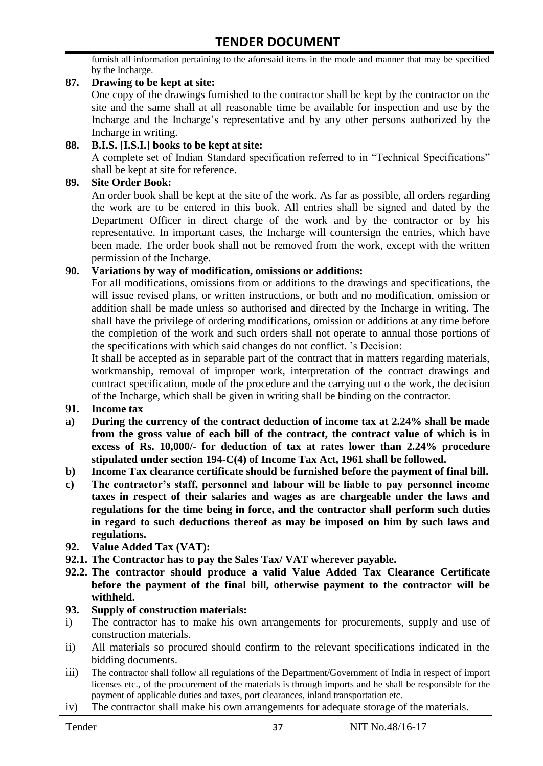furnish all information pertaining to the aforesaid items in the mode and manner that may be specified by the Incharge.

#### **87. Drawing to be kept at site:**

One copy of the drawings furnished to the contractor shall be kept by the contractor on the site and the same shall at all reasonable time be available for inspection and use by the Incharge and the Incharge"s representative and by any other persons authorized by the Incharge in writing.

#### **88. B.I.S. [I.S.I.] books to be kept at site:**

A complete set of Indian Standard specification referred to in "Technical Specifications" shall be kept at site for reference.

#### **89. Site Order Book:**

An order book shall be kept at the site of the work. As far as possible, all orders regarding the work are to be entered in this book. All entries shall be signed and dated by the Department Officer in direct charge of the work and by the contractor or by his representative. In important cases, the Incharge will countersign the entries, which have been made. The order book shall not be removed from the work, except with the written permission of the Incharge.

#### **90. Variations by way of modification, omissions or additions:**

For all modifications, omissions from or additions to the drawings and specifications, the will issue revised plans, or written instructions, or both and no modification, omission or addition shall be made unless so authorised and directed by the Incharge in writing. The shall have the privilege of ordering modifications, omission or additions at any time before the completion of the work and such orders shall not operate to annual those portions of the specifications with which said changes do not conflict. "s Decision:

It shall be accepted as in separable part of the contract that in matters regarding materials, workmanship, removal of improper work, interpretation of the contract drawings and contract specification, mode of the procedure and the carrying out o the work, the decision of the Incharge, which shall be given in writing shall be binding on the contractor.

- **91. Income tax**
- **a) During the currency of the contract deduction of income tax at 2.24% shall be made from the gross value of each bill of the contract, the contract value of which is in excess of Rs. 10,000/- for deduction of tax at rates lower than 2.24% procedure stipulated under section 194-C(4) of Income Tax Act, 1961 shall be followed.**
- **b) Income Tax clearance certificate should be furnished before the payment of final bill.**
- **c) The contractor's staff, personnel and labour will be liable to pay personnel income taxes in respect of their salaries and wages as are chargeable under the laws and regulations for the time being in force, and the contractor shall perform such duties in regard to such deductions thereof as may be imposed on him by such laws and regulations.**
- **92. Value Added Tax (VAT):**
- **92.1. The Contractor has to pay the Sales Tax/ VAT wherever payable.**
- **92.2. The contractor should produce a valid Value Added Tax Clearance Certificate before the payment of the final bill, otherwise payment to the contractor will be withheld.**

#### **93. Supply of construction materials:**

- i) The contractor has to make his own arrangements for procurements, supply and use of construction materials.
- ii) All materials so procured should confirm to the relevant specifications indicated in the bidding documents.
- iii) The contractor shall follow all regulations of the Department/Government of India in respect of import licenses etc., of the procurement of the materials is through imports and he shall be responsible for the payment of applicable duties and taxes, port clearances, inland transportation etc.
- iv) The contractor shall make his own arrangements for adequate storage of the materials.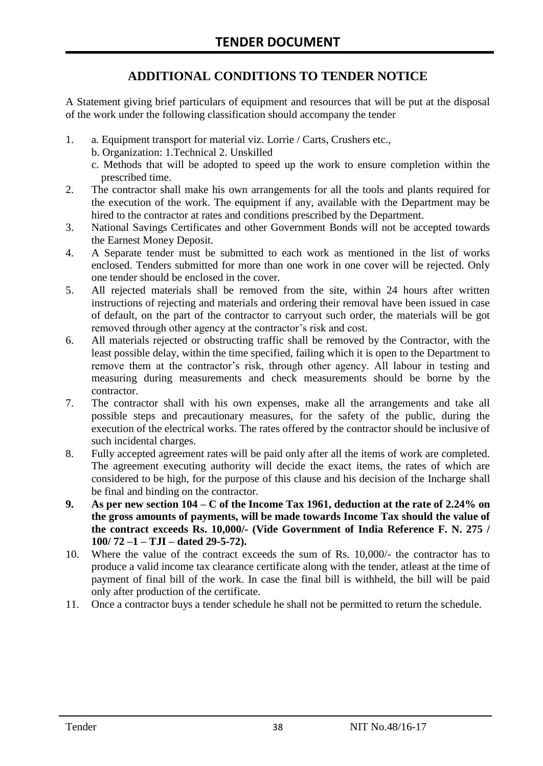# **ADDITIONAL CONDITIONS TO TENDER NOTICE**

A Statement giving brief particulars of equipment and resources that will be put at the disposal of the work under the following classification should accompany the tender

- 1. a. Equipment transport for material viz. Lorrie / Carts, Crushers etc.,
	- b. Organization: 1.Technical 2. Unskilled
	- c. Methods that will be adopted to speed up the work to ensure completion within the prescribed time.
- 2. The contractor shall make his own arrangements for all the tools and plants required for the execution of the work. The equipment if any, available with the Department may be hired to the contractor at rates and conditions prescribed by the Department.
- 3. National Savings Certificates and other Government Bonds will not be accepted towards the Earnest Money Deposit.
- 4. A Separate tender must be submitted to each work as mentioned in the list of works enclosed. Tenders submitted for more than one work in one cover will be rejected. Only one tender should be enclosed in the cover.
- 5. All rejected materials shall be removed from the site, within 24 hours after written instructions of rejecting and materials and ordering their removal have been issued in case of default, on the part of the contractor to carryout such order, the materials will be got removed through other agency at the contractor's risk and cost.
- 6. All materials rejected or obstructing traffic shall be removed by the Contractor, with the least possible delay, within the time specified, failing which it is open to the Department to remove them at the contractor's risk, through other agency. All labour in testing and measuring during measurements and check measurements should be borne by the contractor.
- 7. The contractor shall with his own expenses, make all the arrangements and take all possible steps and precautionary measures, for the safety of the public, during the execution of the electrical works. The rates offered by the contractor should be inclusive of such incidental charges.
- 8. Fully accepted agreement rates will be paid only after all the items of work are completed. The agreement executing authority will decide the exact items, the rates of which are considered to be high, for the purpose of this clause and his decision of the Incharge shall be final and binding on the contractor.
- **9. As per new section 104 – C of the Income Tax 1961, deduction at the rate of 2.24% on the gross amounts of payments, will be made towards Income Tax should the value of the contract exceeds Rs. 10,000/- (Vide Government of India Reference F. N. 275 / 100/ 72 –1 – TJI – dated 29-5-72).**
- 10. Where the value of the contract exceeds the sum of Rs. 10,000/- the contractor has to produce a valid income tax clearance certificate along with the tender, atleast at the time of payment of final bill of the work. In case the final bill is withheld, the bill will be paid only after production of the certificate.
- 11. Once a contractor buys a tender schedule he shall not be permitted to return the schedule.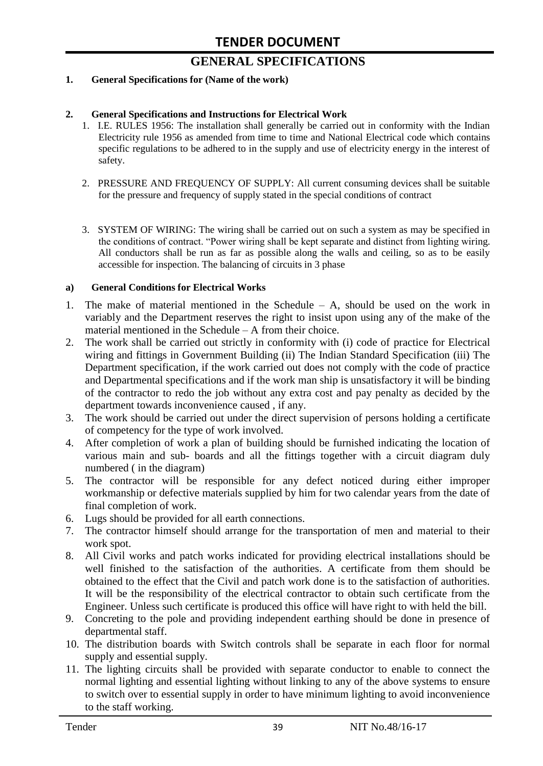# **GENERAL SPECIFICATIONS**

#### **1. General Specifications for (Name of the work)**

#### **2. General Specifications and Instructions for Electrical Work**

- 1. I.E. RULES 1956: The installation shall generally be carried out in conformity with the Indian Electricity rule 1956 as amended from time to time and National Electrical code which contains specific regulations to be adhered to in the supply and use of electricity energy in the interest of safety.
- 2. PRESSURE AND FREQUENCY OF SUPPLY: All current consuming devices shall be suitable for the pressure and frequency of supply stated in the special conditions of contract
- 3. SYSTEM OF WIRING: The wiring shall be carried out on such a system as may be specified in the conditions of contract. "Power wiring shall be kept separate and distinct from lighting wiring. All conductors shall be run as far as possible along the walls and ceiling, so as to be easily accessible for inspection. The balancing of circuits in 3 phase

#### **a) General Conditions for Electrical Works**

- 1. The make of material mentioned in the Schedule A, should be used on the work in variably and the Department reserves the right to insist upon using any of the make of the material mentioned in the Schedule – A from their choice.
- 2. The work shall be carried out strictly in conformity with (i) code of practice for Electrical wiring and fittings in Government Building (ii) The Indian Standard Specification (iii) The Department specification, if the work carried out does not comply with the code of practice and Departmental specifications and if the work man ship is unsatisfactory it will be binding of the contractor to redo the job without any extra cost and pay penalty as decided by the department towards inconvenience caused , if any.
- 3. The work should be carried out under the direct supervision of persons holding a certificate of competency for the type of work involved.
- 4. After completion of work a plan of building should be furnished indicating the location of various main and sub- boards and all the fittings together with a circuit diagram duly numbered ( in the diagram)
- 5. The contractor will be responsible for any defect noticed during either improper workmanship or defective materials supplied by him for two calendar years from the date of final completion of work.
- 6. Lugs should be provided for all earth connections.
- 7. The contractor himself should arrange for the transportation of men and material to their work spot.
- 8. All Civil works and patch works indicated for providing electrical installations should be well finished to the satisfaction of the authorities. A certificate from them should be obtained to the effect that the Civil and patch work done is to the satisfaction of authorities. It will be the responsibility of the electrical contractor to obtain such certificate from the Engineer. Unless such certificate is produced this office will have right to with held the bill.
- 9. Concreting to the pole and providing independent earthing should be done in presence of departmental staff.
- 10. The distribution boards with Switch controls shall be separate in each floor for normal supply and essential supply.
- 11. The lighting circuits shall be provided with separate conductor to enable to connect the normal lighting and essential lighting without linking to any of the above systems to ensure to switch over to essential supply in order to have minimum lighting to avoid inconvenience to the staff working.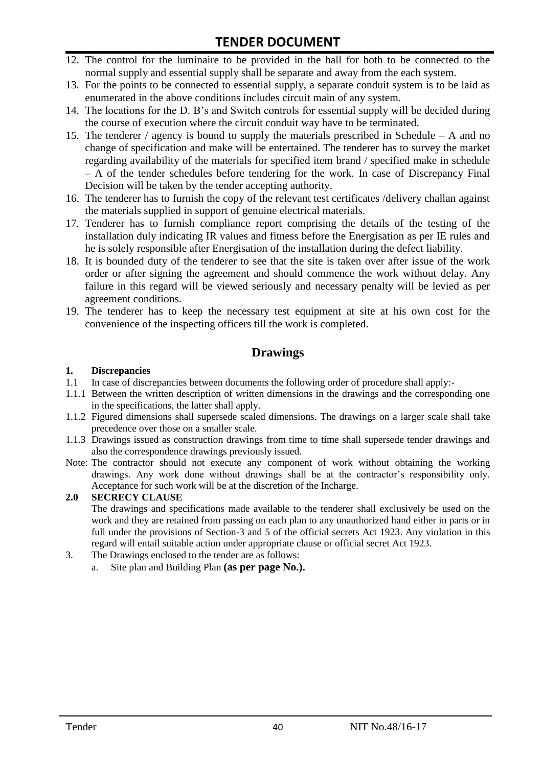- 12. The control for the luminaire to be provided in the hall for both to be connected to the normal supply and essential supply shall be separate and away from the each system.
- 13. For the points to be connected to essential supply, a separate conduit system is to be laid as enumerated in the above conditions includes circuit main of any system.
- 14. The locations for the D. B"s and Switch controls for essential supply will be decided during the course of execution where the circuit conduit way have to be terminated.
- 15. The tenderer / agency is bound to supply the materials prescribed in Schedule A and no change of specification and make will be entertained. The tenderer has to survey the market regarding availability of the materials for specified item brand / specified make in schedule – A of the tender schedules before tendering for the work. In case of Discrepancy Final Decision will be taken by the tender accepting authority.
- 16. The tenderer has to furnish the copy of the relevant test certificates /delivery challan against the materials supplied in support of genuine electrical materials.
- 17. Tenderer has to furnish compliance report comprising the details of the testing of the installation duly indicating IR values and fitness before the Energisation as per IE rules and he is solely responsible after Energisation of the installation during the defect liability.
- 18. It is bounded duty of the tenderer to see that the site is taken over after issue of the work order or after signing the agreement and should commence the work without delay. Any failure in this regard will be viewed seriously and necessary penalty will be levied as per agreement conditions.
- 19. The tenderer has to keep the necessary test equipment at site at his own cost for the convenience of the inspecting officers till the work is completed.

#### **Drawings**

#### **1. Discrepancies**

- 1.1 In case of discrepancies between documents the following order of procedure shall apply:-
- 1.1.1 Between the written description of written dimensions in the drawings and the corresponding one in the specifications, the latter shall apply.
- 1.1.2 Figured dimensions shall supersede scaled dimensions. The drawings on a larger scale shall take precedence over those on a smaller scale.
- 1.1.3 Drawings issued as construction drawings from time to time shall supersede tender drawings and also the correspondence drawings previously issued.
- Note: The contractor should not execute any component of work without obtaining the working drawings. Any work done without drawings shall be at the contractor"s responsibility only. Acceptance for such work will be at the discretion of the Incharge.

#### **2.0 SECRECY CLAUSE**

The drawings and specifications made available to the tenderer shall exclusively be used on the work and they are retained from passing on each plan to any unauthorized hand either in parts or in full under the provisions of Section-3 and 5 of the official secrets Act 1923. Any violation in this regard will entail suitable action under appropriate clause or official secret Act 1923.

- 3. The Drawings enclosed to the tender are as follows:
	- a. Site plan and Building Plan **(as per page No.).**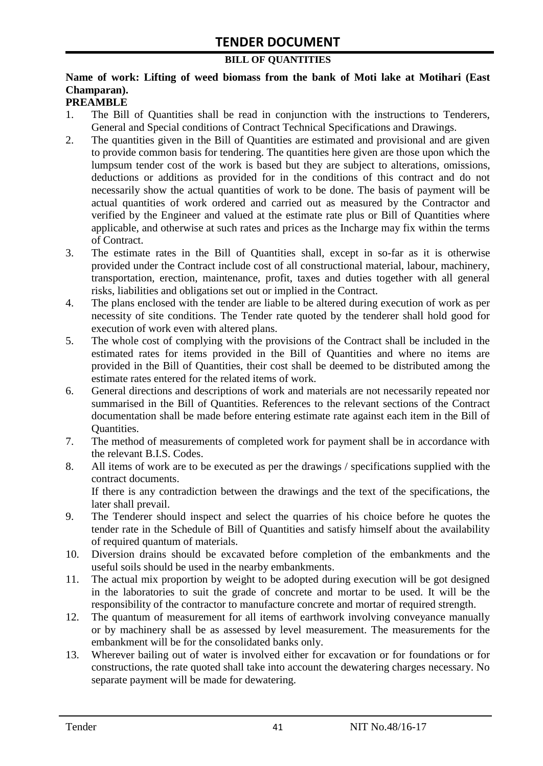#### **BILL OF QUANTITIES**

### **Name of work: Lifting of weed biomass from the bank of Moti lake at Motihari (East Champaran).**

#### **PREAMBLE**

- 1. The Bill of Quantities shall be read in conjunction with the instructions to Tenderers, General and Special conditions of Contract Technical Specifications and Drawings.
- 2. The quantities given in the Bill of Quantities are estimated and provisional and are given to provide common basis for tendering. The quantities here given are those upon which the lumpsum tender cost of the work is based but they are subject to alterations, omissions, deductions or additions as provided for in the conditions of this contract and do not necessarily show the actual quantities of work to be done. The basis of payment will be actual quantities of work ordered and carried out as measured by the Contractor and verified by the Engineer and valued at the estimate rate plus or Bill of Quantities where applicable, and otherwise at such rates and prices as the Incharge may fix within the terms of Contract.
- 3. The estimate rates in the Bill of Quantities shall, except in so-far as it is otherwise provided under the Contract include cost of all constructional material, labour, machinery, transportation, erection, maintenance, profit, taxes and duties together with all general risks, liabilities and obligations set out or implied in the Contract.
- 4. The plans enclosed with the tender are liable to be altered during execution of work as per necessity of site conditions. The Tender rate quoted by the tenderer shall hold good for execution of work even with altered plans.
- 5. The whole cost of complying with the provisions of the Contract shall be included in the estimated rates for items provided in the Bill of Quantities and where no items are provided in the Bill of Quantities, their cost shall be deemed to be distributed among the estimate rates entered for the related items of work.
- 6. General directions and descriptions of work and materials are not necessarily repeated nor summarised in the Bill of Quantities. References to the relevant sections of the Contract documentation shall be made before entering estimate rate against each item in the Bill of Quantities.
- 7. The method of measurements of completed work for payment shall be in accordance with the relevant B.I.S. Codes.
- 8. All items of work are to be executed as per the drawings / specifications supplied with the contract documents. If there is any contradiction between the drawings and the text of the specifications, the

later shall prevail.

- 9. The Tenderer should inspect and select the quarries of his choice before he quotes the tender rate in the Schedule of Bill of Quantities and satisfy himself about the availability of required quantum of materials.
- 10. Diversion drains should be excavated before completion of the embankments and the useful soils should be used in the nearby embankments.
- 11. The actual mix proportion by weight to be adopted during execution will be got designed in the laboratories to suit the grade of concrete and mortar to be used. It will be the responsibility of the contractor to manufacture concrete and mortar of required strength.
- 12. The quantum of measurement for all items of earthwork involving conveyance manually or by machinery shall be as assessed by level measurement. The measurements for the embankment will be for the consolidated banks only.
- 13. Wherever bailing out of water is involved either for excavation or for foundations or for constructions, the rate quoted shall take into account the dewatering charges necessary. No separate payment will be made for dewatering.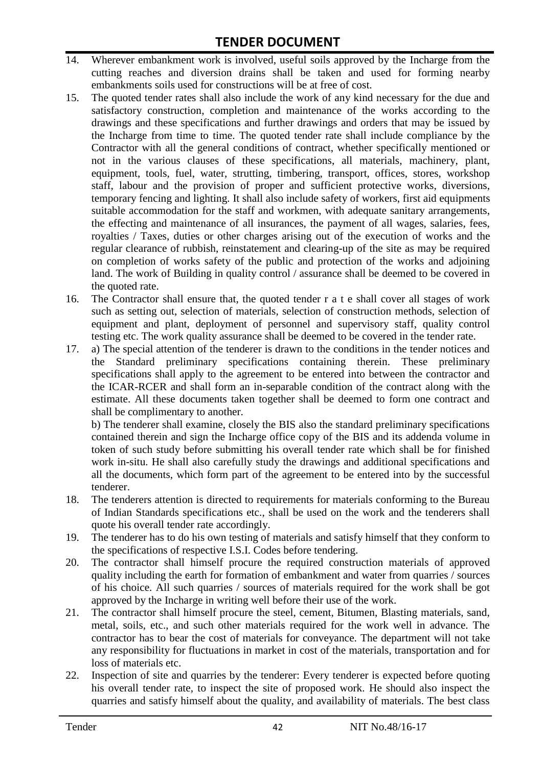- 14. Wherever embankment work is involved, useful soils approved by the Incharge from the cutting reaches and diversion drains shall be taken and used for forming nearby embankments soils used for constructions will be at free of cost.
- 15. The quoted tender rates shall also include the work of any kind necessary for the due and satisfactory construction, completion and maintenance of the works according to the drawings and these specifications and further drawings and orders that may be issued by the Incharge from time to time. The quoted tender rate shall include compliance by the Contractor with all the general conditions of contract, whether specifically mentioned or not in the various clauses of these specifications, all materials, machinery, plant, equipment, tools, fuel, water, strutting, timbering, transport, offices, stores, workshop staff, labour and the provision of proper and sufficient protective works, diversions, temporary fencing and lighting. It shall also include safety of workers, first aid equipments suitable accommodation for the staff and workmen, with adequate sanitary arrangements, the effecting and maintenance of all insurances, the payment of all wages, salaries, fees, royalties / Taxes, duties or other charges arising out of the execution of works and the regular clearance of rubbish, reinstatement and clearing-up of the site as may be required on completion of works safety of the public and protection of the works and adjoining land. The work of Building in quality control / assurance shall be deemed to be covered in the quoted rate.
- 16. The Contractor shall ensure that, the quoted tender r a t e shall cover all stages of work such as setting out, selection of materials, selection of construction methods, selection of equipment and plant, deployment of personnel and supervisory staff, quality control testing etc. The work quality assurance shall be deemed to be covered in the tender rate.
- 17. a) The special attention of the tenderer is drawn to the conditions in the tender notices and the Standard preliminary specifications containing therein. These preliminary specifications shall apply to the agreement to be entered into between the contractor and the ICAR-RCER and shall form an in-separable condition of the contract along with the estimate. All these documents taken together shall be deemed to form one contract and shall be complimentary to another.

b) The tenderer shall examine, closely the BIS also the standard preliminary specifications contained therein and sign the Incharge office copy of the BIS and its addenda volume in token of such study before submitting his overall tender rate which shall be for finished work in-situ. He shall also carefully study the drawings and additional specifications and all the documents, which form part of the agreement to be entered into by the successful tenderer.

- 18. The tenderers attention is directed to requirements for materials conforming to the Bureau of Indian Standards specifications etc., shall be used on the work and the tenderers shall quote his overall tender rate accordingly.
- 19. The tenderer has to do his own testing of materials and satisfy himself that they conform to the specifications of respective I.S.I. Codes before tendering.
- 20. The contractor shall himself procure the required construction materials of approved quality including the earth for formation of embankment and water from quarries / sources of his choice. All such quarries / sources of materials required for the work shall be got approved by the Incharge in writing well before their use of the work.
- 21. The contractor shall himself procure the steel, cement, Bitumen, Blasting materials, sand, metal, soils, etc., and such other materials required for the work well in advance. The contractor has to bear the cost of materials for conveyance. The department will not take any responsibility for fluctuations in market in cost of the materials, transportation and for loss of materials etc.
- 22. Inspection of site and quarries by the tenderer: Every tenderer is expected before quoting his overall tender rate, to inspect the site of proposed work. He should also inspect the quarries and satisfy himself about the quality, and availability of materials. The best class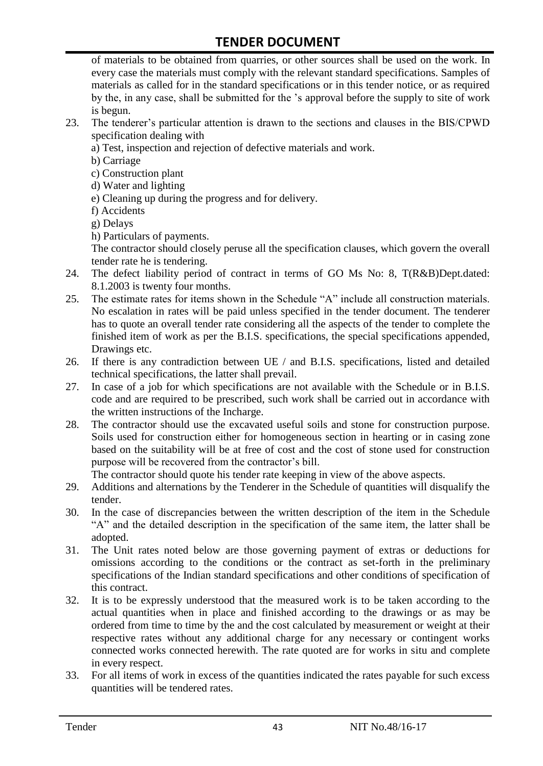of materials to be obtained from quarries, or other sources shall be used on the work. In every case the materials must comply with the relevant standard specifications. Samples of materials as called for in the standard specifications or in this tender notice, or as required by the, in any case, shall be submitted for the "s approval before the supply to site of work is begun.

- 23. The tenderer"s particular attention is drawn to the sections and clauses in the BIS/CPWD specification dealing with
	- a) Test, inspection and rejection of defective materials and work.
	- b) Carriage
	- c) Construction plant
	- d) Water and lighting
	- e) Cleaning up during the progress and for delivery.
	- f) Accidents
	- g) Delays
	- h) Particulars of payments.

The contractor should closely peruse all the specification clauses, which govern the overall tender rate he is tendering.

- 24. The defect liability period of contract in terms of GO Ms No: 8, T(R&B)Dept.dated: 8.1.2003 is twenty four months.
- 25. The estimate rates for items shown in the Schedule "A" include all construction materials. No escalation in rates will be paid unless specified in the tender document. The tenderer has to quote an overall tender rate considering all the aspects of the tender to complete the finished item of work as per the B.I.S. specifications, the special specifications appended, Drawings etc.
- 26. If there is any contradiction between UE / and B.I.S. specifications, listed and detailed technical specifications, the latter shall prevail.
- 27. In case of a job for which specifications are not available with the Schedule or in B.I.S. code and are required to be prescribed, such work shall be carried out in accordance with the written instructions of the Incharge.
- 28. The contractor should use the excavated useful soils and stone for construction purpose. Soils used for construction either for homogeneous section in hearting or in casing zone based on the suitability will be at free of cost and the cost of stone used for construction purpose will be recovered from the contractor's bill.

The contractor should quote his tender rate keeping in view of the above aspects.

- 29. Additions and alternations by the Tenderer in the Schedule of quantities will disqualify the tender.
- 30. In the case of discrepancies between the written description of the item in the Schedule "A" and the detailed description in the specification of the same item, the latter shall be adopted.
- 31. The Unit rates noted below are those governing payment of extras or deductions for omissions according to the conditions or the contract as set-forth in the preliminary specifications of the Indian standard specifications and other conditions of specification of this contract.
- 32. It is to be expressly understood that the measured work is to be taken according to the actual quantities when in place and finished according to the drawings or as may be ordered from time to time by the and the cost calculated by measurement or weight at their respective rates without any additional charge for any necessary or contingent works connected works connected herewith. The rate quoted are for works in situ and complete in every respect.
- 33. For all items of work in excess of the quantities indicated the rates payable for such excess quantities will be tendered rates.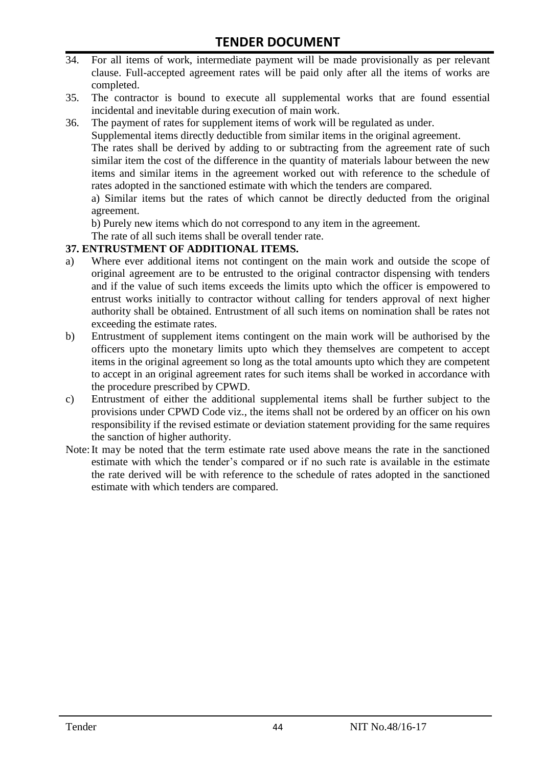- 34. For all items of work, intermediate payment will be made provisionally as per relevant clause. Full-accepted agreement rates will be paid only after all the items of works are completed.
- 35. The contractor is bound to execute all supplemental works that are found essential incidental and inevitable during execution of main work.
- 36. The payment of rates for supplement items of work will be regulated as under.

Supplemental items directly deductible from similar items in the original agreement.

The rates shall be derived by adding to or subtracting from the agreement rate of such similar item the cost of the difference in the quantity of materials labour between the new items and similar items in the agreement worked out with reference to the schedule of rates adopted in the sanctioned estimate with which the tenders are compared.

a) Similar items but the rates of which cannot be directly deducted from the original agreement.

b) Purely new items which do not correspond to any item in the agreement.

The rate of all such items shall be overall tender rate.

#### **37. ENTRUSTMENT OF ADDITIONAL ITEMS.**

- a) Where ever additional items not contingent on the main work and outside the scope of original agreement are to be entrusted to the original contractor dispensing with tenders and if the value of such items exceeds the limits upto which the officer is empowered to entrust works initially to contractor without calling for tenders approval of next higher authority shall be obtained. Entrustment of all such items on nomination shall be rates not exceeding the estimate rates.
- b) Entrustment of supplement items contingent on the main work will be authorised by the officers upto the monetary limits upto which they themselves are competent to accept items in the original agreement so long as the total amounts upto which they are competent to accept in an original agreement rates for such items shall be worked in accordance with the procedure prescribed by CPWD.
- c) Entrustment of either the additional supplemental items shall be further subject to the provisions under CPWD Code viz., the items shall not be ordered by an officer on his own responsibility if the revised estimate or deviation statement providing for the same requires the sanction of higher authority.
- Note:It may be noted that the term estimate rate used above means the rate in the sanctioned estimate with which the tender"s compared or if no such rate is available in the estimate the rate derived will be with reference to the schedule of rates adopted in the sanctioned estimate with which tenders are compared.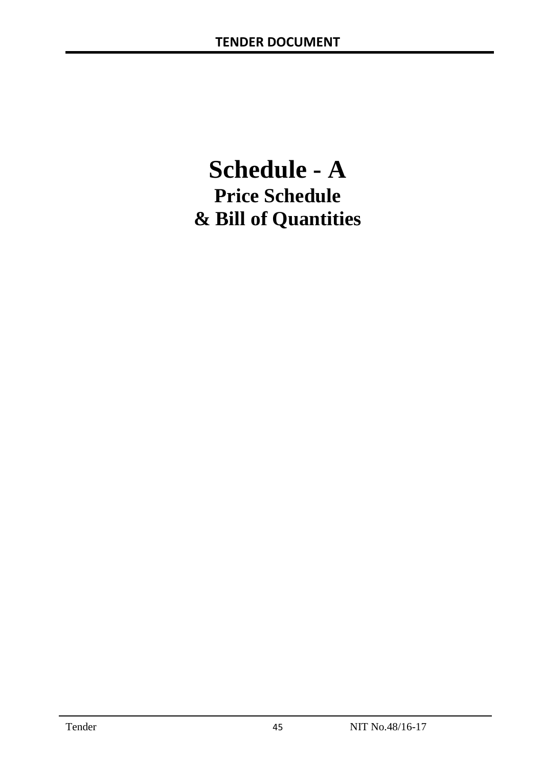# **Schedule - A Price Schedule & Bill of Quantities**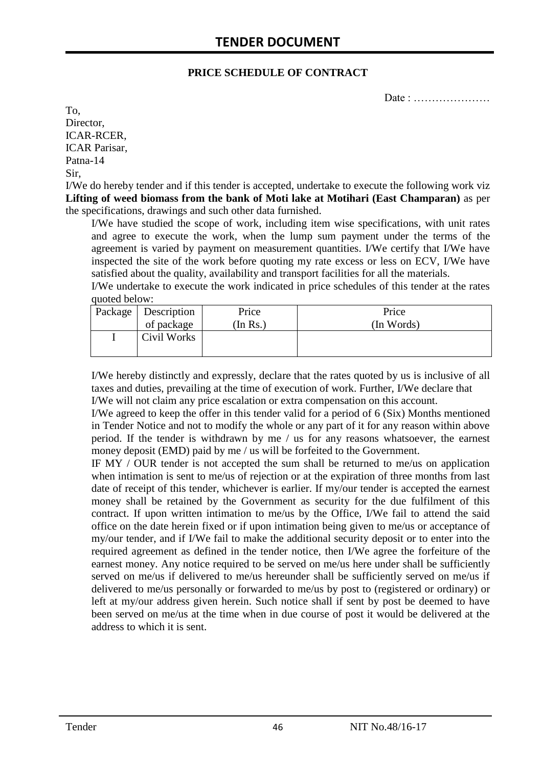#### **PRICE SCHEDULE OF CONTRACT**

Date : …………………

To, Director, ICAR-RCER, ICAR Parisar, Patna-14 Sir,

I/We do hereby tender and if this tender is accepted, undertake to execute the following work viz **Lifting of weed biomass from the bank of Moti lake at Motihari (East Champaran)** as per the specifications, drawings and such other data furnished.

I/We have studied the scope of work, including item wise specifications, with unit rates and agree to execute the work, when the lump sum payment under the terms of the agreement is varied by payment on measurement quantities. I/We certify that I/We have inspected the site of the work before quoting my rate excess or less on ECV, I/We have satisfied about the quality, availability and transport facilities for all the materials.

I/We undertake to execute the work indicated in price schedules of this tender at the rates quoted below:

| Package   Description | Price    | Price      |
|-----------------------|----------|------------|
| of package            | (In Rs.) | (In Words) |
| Civil Works           |          |            |
|                       |          |            |

I/We hereby distinctly and expressly, declare that the rates quoted by us is inclusive of all taxes and duties, prevailing at the time of execution of work. Further, I/We declare that I/We will not claim any price escalation or extra compensation on this account.

I/We agreed to keep the offer in this tender valid for a period of 6 (Six) Months mentioned in Tender Notice and not to modify the whole or any part of it for any reason within above period. If the tender is withdrawn by me / us for any reasons whatsoever, the earnest money deposit (EMD) paid by me / us will be forfeited to the Government.

IF MY / OUR tender is not accepted the sum shall be returned to me/us on application when intimation is sent to me/us of rejection or at the expiration of three months from last date of receipt of this tender, whichever is earlier. If my/our tender is accepted the earnest money shall be retained by the Government as security for the due fulfilment of this contract. If upon written intimation to me/us by the Office, I/We fail to attend the said office on the date herein fixed or if upon intimation being given to me/us or acceptance of my/our tender, and if I/We fail to make the additional security deposit or to enter into the required agreement as defined in the tender notice, then I/We agree the forfeiture of the earnest money. Any notice required to be served on me/us here under shall be sufficiently served on me/us if delivered to me/us hereunder shall be sufficiently served on me/us if delivered to me/us personally or forwarded to me/us by post to (registered or ordinary) or left at my/our address given herein. Such notice shall if sent by post be deemed to have been served on me/us at the time when in due course of post it would be delivered at the address to which it is sent.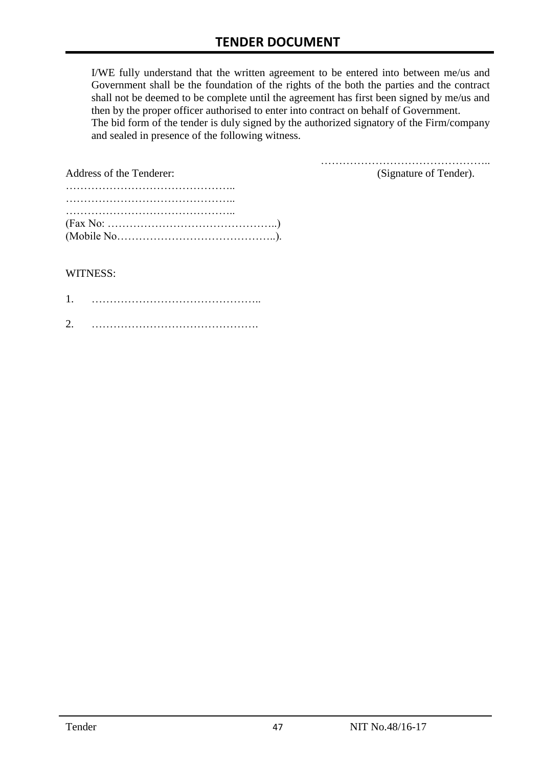I/WE fully understand that the written agreement to be entered into between me/us and Government shall be the foundation of the rights of the both the parties and the contract shall not be deemed to be complete until the agreement has first been signed by me/us and then by the proper officer authorised to enter into contract on behalf of Government. The bid form of the tender is duly signed by the authorized signatory of the Firm/company and sealed in presence of the following witness.

| Address of the Tenderer:                                                                  | (Signature of Tender). |
|-------------------------------------------------------------------------------------------|------------------------|
|                                                                                           |                        |
|                                                                                           |                        |
|                                                                                           |                        |
| $(Fax No: \dots \dots \dots \dots \dots \dots \dots \dots \dots \dots \dots \dots \dots)$ |                        |
|                                                                                           |                        |

#### WITNESS:

| ⌒ |  |
|---|--|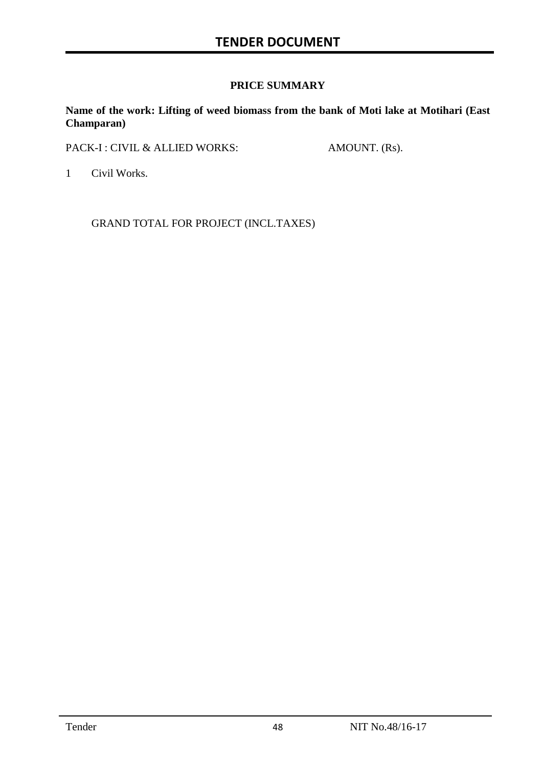#### **PRICE SUMMARY**

**Name of the work: Lifting of weed biomass from the bank of Moti lake at Motihari (East Champaran)**

PACK-I : CIVIL & ALLIED WORKS: AMOUNT. (Rs).

1 Civil Works.

GRAND TOTAL FOR PROJECT (INCL.TAXES)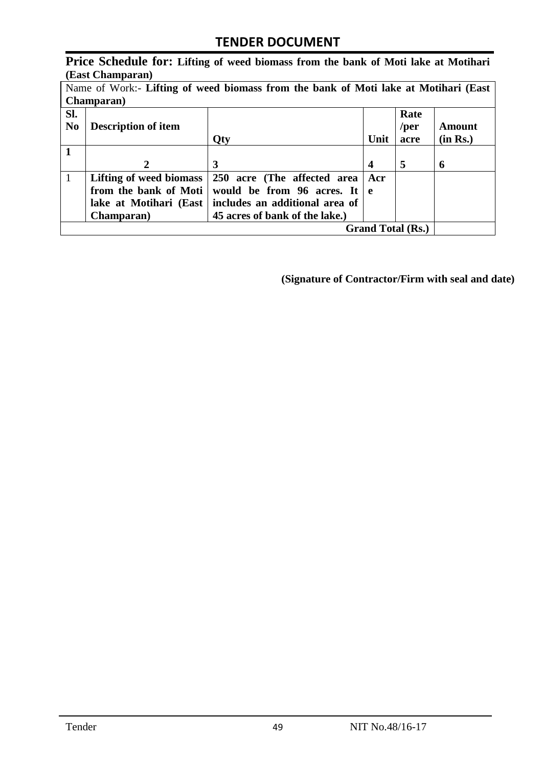**Price Schedule for: Lifting of weed biomass from the bank of Moti lake at Motihari (East Champaran)**

| Name of Work:- Lifting of weed biomass from the bank of Moti lake at Motihari (East |                            |                                |              |              |          |
|-------------------------------------------------------------------------------------|----------------------------|--------------------------------|--------------|--------------|----------|
|                                                                                     | <b>Champaran</b> )         |                                |              |              |          |
| SI.<br>N <sub>0</sub>                                                               | <b>Description of item</b> |                                |              | Rate<br>/per | Amount   |
|                                                                                     |                            | Qty                            | Unit         | acre         | (in Rs.) |
|                                                                                     |                            |                                |              |              |          |
|                                                                                     | $\mathbf{2}$               | 3                              | 4            | 5            | 6        |
| $\mathbf{1}$                                                                        | Lifting of weed biomass    | 250 acre (The affected area    | Acr          |              |          |
|                                                                                     | from the bank of Moti      | would be from 96 acres. It     | $\mathbf{e}$ |              |          |
|                                                                                     | lake at Motihari (East     | includes an additional area of |              |              |          |
|                                                                                     | <b>Champaran</b> )         | 45 acres of bank of the lake.) |              |              |          |
| <b>Grand Total (Rs.)</b>                                                            |                            |                                |              |              |          |

**(Signature of Contractor/Firm with seal and date)**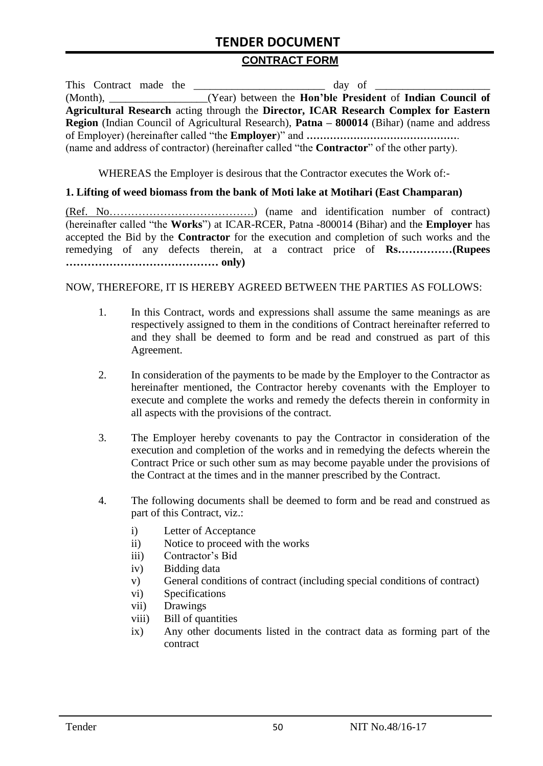#### **CONTRACT FORM**

This Contract made the day of  $\frac{1}{2}$ (Month), \_\_\_\_\_\_\_\_\_\_\_\_\_\_\_\_\_\_(Year) between the **Hon'ble President** of **Indian Council of Agricultural Research** acting through the **Director, ICAR Research Complex for Eastern Region** (Indian Council of Agricultural Research), **Patna – 800014** (Bihar) (name and address of Employer) (hereinafter called "the **Employer**)" and **………………………………………**. (name and address of contractor) (hereinafter called "the **Contractor**" of the other party).

WHEREAS the Employer is desirous that the Contractor executes the Work of:-

#### **1. Lifting of weed biomass from the bank of Moti lake at Motihari (East Champaran)**

(Ref. No………………………………….) (name and identification number of contract) (hereinafter called "the **Works**") at ICAR-RCER, Patna -800014 (Bihar) and the **Employer** has accepted the Bid by the **Contractor** for the execution and completion of such works and the remedying of any defects therein, at a contract price of **Rs……………(Rupees …………………………………… only)**

NOW, THEREFORE, IT IS HEREBY AGREED BETWEEN THE PARTIES AS FOLLOWS:

- 1. In this Contract, words and expressions shall assume the same meanings as are respectively assigned to them in the conditions of Contract hereinafter referred to and they shall be deemed to form and be read and construed as part of this Agreement.
- 2. In consideration of the payments to be made by the Employer to the Contractor as hereinafter mentioned, the Contractor hereby covenants with the Employer to execute and complete the works and remedy the defects therein in conformity in all aspects with the provisions of the contract.
- 3. The Employer hereby covenants to pay the Contractor in consideration of the execution and completion of the works and in remedying the defects wherein the Contract Price or such other sum as may become payable under the provisions of the Contract at the times and in the manner prescribed by the Contract.
- 4. The following documents shall be deemed to form and be read and construed as part of this Contract, viz.:
	- i) Letter of Acceptance
	- ii) Notice to proceed with the works
	- iii) Contractor's Bid
	- iv) Bidding data
	- v) General conditions of contract (including special conditions of contract)
	- vi) Specifications
	- vii) Drawings
	- viii) Bill of quantities
	- ix) Any other documents listed in the contract data as forming part of the contract